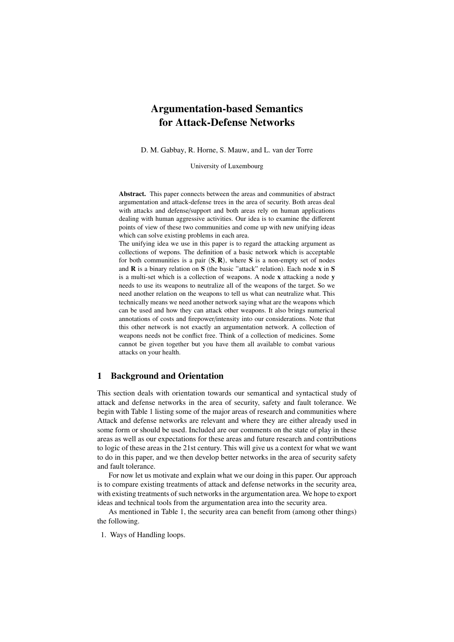# Argumentation-based Semantics for Attack-Defense Networks

D. M. Gabbay, R. Horne, S. Mauw, and L. van der Torre

University of Luxembourg

Abstract. This paper connects between the areas and communities of abstract argumentation and attack-defense trees in the area of security. Both areas deal with attacks and defense/support and both areas rely on human applications dealing with human aggressive activities. Our idea is to examine the different points of view of these two communities and come up with new unifying ideas which can solve existing problems in each area.

The unifying idea we use in this paper is to regard the attacking argument as collections of wepons. The definition of a basic network which is acceptable for both communities is a pair  $(S, R)$ , where S is a non-empty set of nodes and  $\bf{R}$  is a binary relation on  $\bf{S}$  (the basic "attack" relation). Each node  $\bf{x}$  in  $\bf{S}$ is a multi-set which is a collection of weapons. A node x attacking a node y needs to use its weapons to neutralize all of the weapons of the target. So we need another relation on the weapons to tell us what can neutralize what. This technically means we need another network saying what are the weapons which can be used and how they can attack other weapons. It also brings numerical annotations of costs and firepower/intensity into our considerations. Note that this other network is not exactly an argumentation network. A collection of weapons needs not be conflict free. Think of a collection of medicines. Some cannot be given together but you have them all available to combat various attacks on your health.

#### 1 Background and Orientation

This section deals with orientation towards our semantical and syntactical study of attack and defense networks in the area of security, safety and fault tolerance. We begin with Table 1 listing some of the major areas of research and communities where Attack and defense networks are relevant and where they are either already used in some form or should be used. Included are our comments on the state of play in these areas as well as our expectations for these areas and future research and contributions to logic of these areas in the 21st century. This will give us a context for what we want to do in this paper, and we then develop better networks in the area of security safety and fault tolerance.

For now let us motivate and explain what we our doing in this paper. Our approach is to compare existing treatments of attack and defense networks in the security area, with existing treatments of such networks in the argumentation area. We hope to export ideas and technical tools from the argumentation area into the security area.

As mentioned in Table 1, the security area can benefit from (among other things) the following.

1. Ways of Handling loops.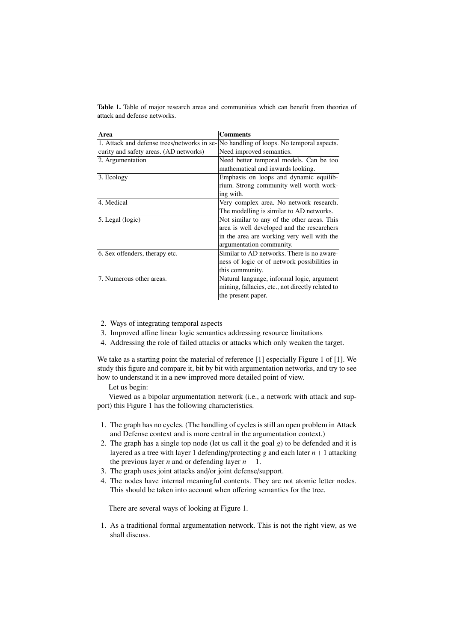Table 1. Table of major research areas and communities which can benefit from theories of attack and defense networks.

| Area                                        | <b>Comments</b>                                  |  |
|---------------------------------------------|--------------------------------------------------|--|
| 1. Attack and defense trees/networks in se- | No handling of loops. No temporal aspects.       |  |
| curity and safety areas. (AD networks)      | Need improved semantics.                         |  |
| 2. Argumentation                            | Need better temporal models. Can be too          |  |
|                                             | mathematical and inwards looking.                |  |
| 3. Ecology                                  | Emphasis on loops and dynamic equilib-           |  |
|                                             | rium. Strong community well worth work-          |  |
|                                             | ing with.                                        |  |
| 4. Medical                                  | Very complex area. No network research.          |  |
|                                             | The modelling is similar to AD networks.         |  |
| 5. Legal (logic)                            | Not similar to any of the other areas. This      |  |
|                                             | area is well developed and the researchers       |  |
|                                             | in the area are working very well with the       |  |
|                                             | argumentation community.                         |  |
| 6. Sex offenders, therapy etc.              | Similar to AD networks. There is no aware-       |  |
|                                             | ness of logic or of network possibilities in     |  |
|                                             | this community.                                  |  |
| 7. Numerous other areas.                    | Natural language, informal logic, argument       |  |
|                                             | mining, fallacies, etc., not directly related to |  |
|                                             | the present paper.                               |  |

- 2. Ways of integrating temporal aspects
- 3. Improved affine linear logic semantics addressing resource limitations
- 4. Addressing the role of failed attacks or attacks which only weaken the target.

We take as a starting point the material of reference [1] especially Figure 1 of [1]. We study this figure and compare it, bit by bit with argumentation networks, and try to see how to understand it in a new improved more detailed point of view.

Let us begin:

Viewed as a bipolar argumentation network (i.e., a network with attack and support) this Figure 1 has the following characteristics.

- 1. The graph has no cycles. (The handling of cycles is still an open problem in Attack and Defense context and is more central in the argumentation context.)
- 2. The graph has a single top node (let us call it the goal *g*) to be defended and it is layered as a tree with layer 1 defending/protecting *g* and each later  $n+1$  attacking the previous layer *n* and or defending layer  $n - 1$ .
- 3. The graph uses joint attacks and/or joint defense/support.
- 4. The nodes have internal meaningful contents. They are not atomic letter nodes. This should be taken into account when offering semantics for the tree.

There are several ways of looking at Figure 1.

1. As a traditional formal argumentation network. This is not the right view, as we shall discuss.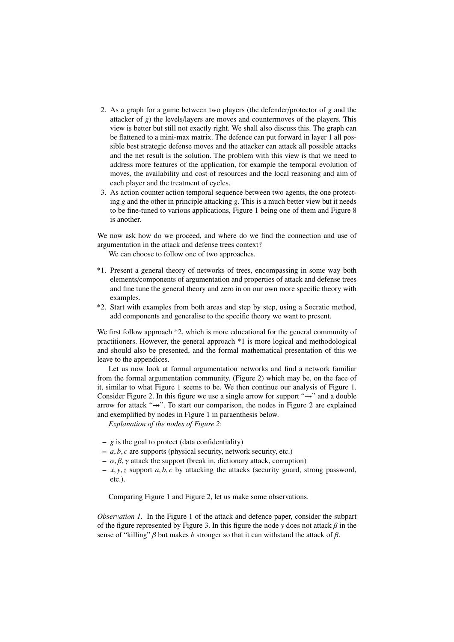- 2. As a graph for a game between two players (the defender/protector of *g* and the attacker of *g*) the levels/layers are moves and countermoves of the players. This view is better but still not exactly right. We shall also discuss this. The graph can be flattened to a mini-max matrix. The defence can put forward in layer 1 all possible best strategic defense moves and the attacker can attack all possible attacks and the net result is the solution. The problem with this view is that we need to address more features of the application, for example the temporal evolution of moves, the availability and cost of resources and the local reasoning and aim of each player and the treatment of cycles.
- 3. As action counter action temporal sequence between two agents, the one protecting *g* and the other in principle attacking *g*. This is a much better view but it needs to be fine-tuned to various applications, Figure 1 being one of them and Figure 8 is another.

We now ask how do we proceed, and where do we find the connection and use of argumentation in the attack and defense trees context?

We can choose to follow one of two approaches.

- \*1. Present a general theory of networks of trees, encompassing in some way both elements/components of argumentation and properties of attack and defense trees and fine tune the general theory and zero in on our own more specific theory with examples.
- \*2. Start with examples from both areas and step by step, using a Socratic method, add components and generalise to the specific theory we want to present.

We first follow approach  $*2$ , which is more educational for the general community of practitioners. However, the general approach \*1 is more logical and methodological and should also be presented, and the formal mathematical presentation of this we leave to the appendices.

Let us now look at formal argumentation networks and find a network familiar from the formal argumentation community, (Figure 2) which may be, on the face of it, similar to what Figure 1 seems to be. We then continue our analysis of Figure 1. Consider Figure 2. In this figure we use a single arrow for support " $\rightarrow$ " and a double arrow for attack " $\rightarrow$ ". To start our comparison, the nodes in Figure 2 are explained and exemplified by nodes in Figure 1 in paraenthesis below.

*Explanation of the nodes of Figure 2*:

- $g$  is the goal to protect (data confidentiality)
- *<sup>a</sup>*, *<sup>b</sup>*, *<sup>c</sup>* are supports (physical security, network security, etc.)
- $-\alpha, \beta, \gamma$  attack the support (break in, dictionary attack, corruption)
- *<sup>x</sup>*, *<sup>y</sup>*,*<sup>z</sup>* support *<sup>a</sup>*, *<sup>b</sup>*, *<sup>c</sup>* by attacking the attacks (security guard, strong password, etc.).

Comparing Figure 1 and Figure 2, let us make some observations.

*Observation 1.* In the Figure 1 of the attack and defence paper, consider the subpart of the figure represented by Figure 3. In this figure the node *y* does not attack  $\beta$  in the sense of "killing"  $\beta$  but makes *b* stronger so that it can withstand the attack of  $\beta$ .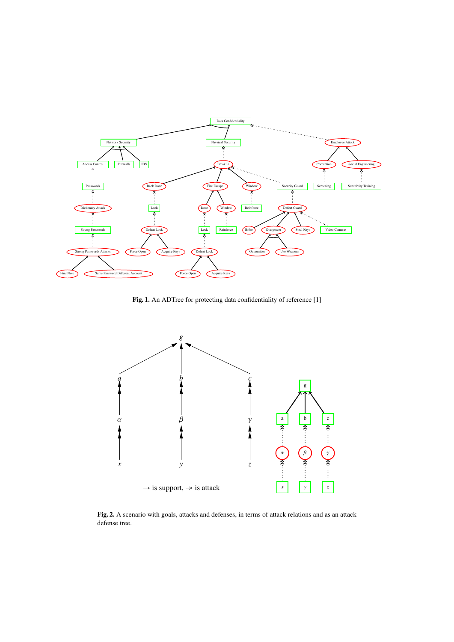

Fig. 1. An ADTree for protecting data confidentiality of reference [1]



Fig. 2. A scenario with goals, attacks and defenses, in terms of attack relations and as an attack defense tree.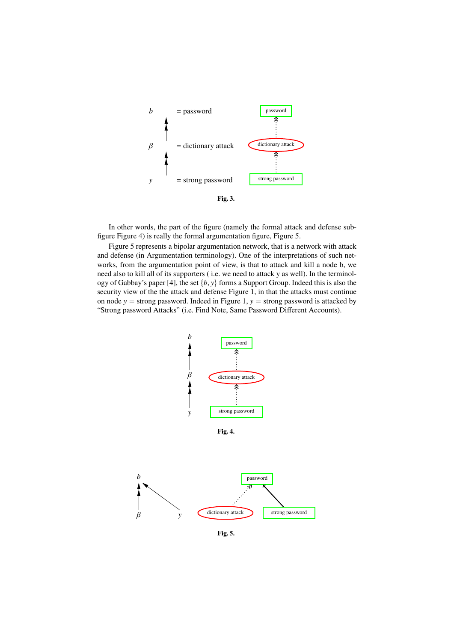

In other words, the part of the figure (namely the formal attack and defense subfigure Figure 4) is really the formal argumentation figure, Figure 5.

Figure 5 represents a bipolar argumentation network, that is a network with attack and defense (in Argumentation terminology). One of the interpretations of such networks, from the argumentation point of view, is that to attack and kill a node b, we need also to kill all of its supporters ( i.e. we need to attack y as well). In the terminology of Gabbay's paper [4], the set  $\{b, y\}$  forms a Support Group. Indeed this is also the security view of the the attack and defense Figure 1, in that the attacks must continue on node  $y =$  strong password. Indeed in Figure 1,  $y =$  strong password is attacked by "Strong password Attacks" (i.e. Find Note, Same Password Different Accounts).



Fig. 5.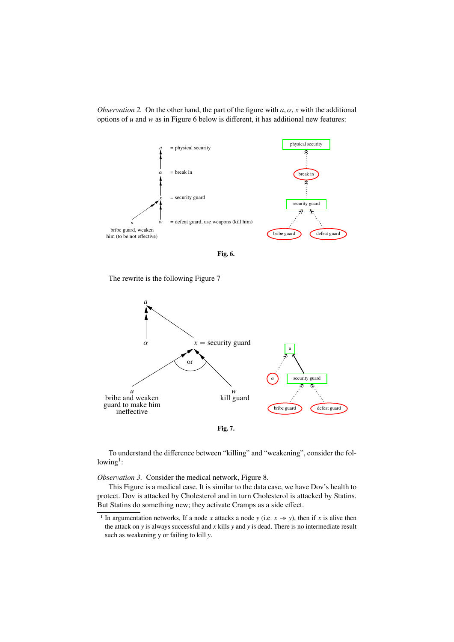*Observation 2.* On the other hand, the part of the figure with  $a, \alpha, x$  with the additional options of *u* and *w* as in Figure 6 below is different, it has additional new features:



Fig. 6.

The rewrite is the following Figure 7



To understand the difference between "killing" and "weakening", consider the fol $lowing<sup>1</sup>$ :

*Observation 3.* Consider the medical network, Figure 8.

This Figure is a medical case. It is similar to the data case, we have Dov's health to protect. Dov is attacked by Cholesterol and in turn Cholesterol is attacked by Statins. But Statins do something new; they activate Cramps as a side effect.

<sup>&</sup>lt;sup>1</sup> In argumentation networks, If a node *x* attacks a node *y* (i.e.  $x \rightarrow y$ ), then if *x* is alive then the attack on *y* is always successful and *x* kills *y* and *y* is dead. There is no intermediate result such as weakening y or failing to kill *y*.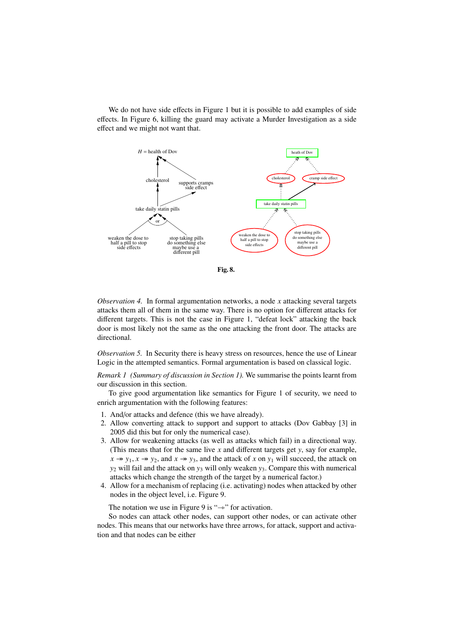We do not have side effects in Figure 1 but it is possible to add examples of side effects. In Figure 6, killing the guard may activate a Murder Investigation as a side effect and we might not want that.



*Observation 4.* In formal argumentation networks, a node *x* attacking several targets attacks them all of them in the same way. There is no option for different attacks for different targets. This is not the case in Figure 1, "defeat lock" attacking the back door is most likely not the same as the one attacking the front door. The attacks are directional.

*Observation 5.* In Security there is heavy stress on resources, hence the use of Linear Logic in the attempted semantics. Formal argumentation is based on classical logic.

*Remark 1 (Summary of discussion in Section 1).* We summarise the points learnt from our discussion in this section.

To give good argumentation like semantics for Figure 1 of security, we need to enrich argumentation with the following features:

- 1. And/or attacks and defence (this we have already).
- 2. Allow converting attack to support and support to attacks (Dov Gabbay [3] in 2005 did this but for only the numerical case).
- 3. Allow for weakening attacks (as well as attacks which fail) in a directional way. (This means that for the same live *x* and different targets get *y*, say for example,  $x \rightarrow y_1$ ,  $x \rightarrow y_2$ , and  $x \rightarrow y_3$ , and the attack of *x* on  $y_1$  will succeed, the attack on *y*<sup>2</sup> will fail and the attack on *y*<sup>3</sup> will only weaken *y*3. Compare this with numerical attacks which change the strength of the target by a numerical factor.)
- 4. Allow for a mechanism of replacing (i.e. activating) nodes when attacked by other nodes in the object level, i.e. Figure 9.

The notation we use in Figure 9 is " $\rightarrow$ " for activation.

So nodes can attack other nodes, can support other nodes, or can activate other nodes. This means that our networks have three arrows, for attack, support and activation and that nodes can be either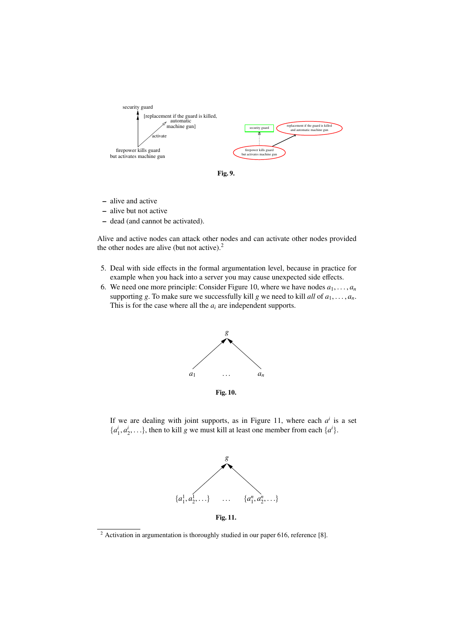

Fig. 9.

- alive and active
- alive but not active
- dead (and cannot be activated).

Alive and active nodes can attack other nodes and can activate other nodes provided the other nodes are alive (but not active). $<sup>2</sup>$ </sup>

- 5. Deal with side effects in the formal argumentation level, because in practice for example when you hack into a server you may cause unexpected side effects.
- 6. We need one more principle: Consider Figure 10, where we have nodes  $a_1, \ldots, a_n$ supporting *g*. To make sure we successfully kill *g* we need to kill *all* of  $a_1, \ldots, a_n$ . This is for the case where all the *a<sup>i</sup>* are independent supports.



If we are dealing with joint supports, as in Figure 11, where each  $a^i$  is a set  $\{a_1^i, a_2^i, \ldots\}$ , then to kill *g* we must kill at least one member from each  $\{a^i\}$ .



Fig. 11.

<sup>&</sup>lt;sup>2</sup> Activation in argumentation is thoroughly studied in our paper 616, reference [8].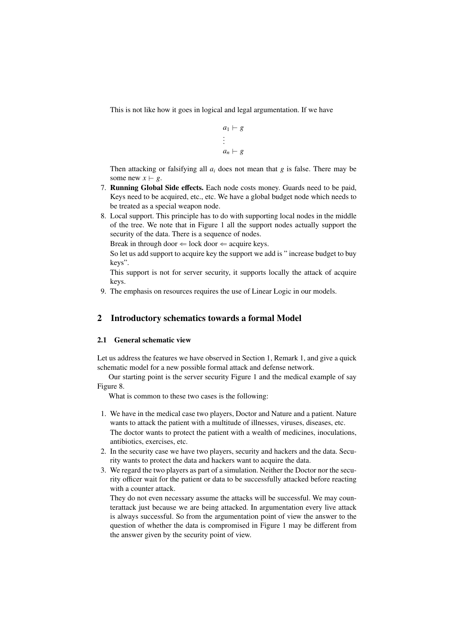This is not like how it goes in logical and legal argumentation. If we have

$$
a_1 \vdash g
$$
  
 
$$
\vdots
$$
  
 
$$
a_n \vdash g
$$

Then attacking or falsifying all *a<sup>i</sup>* does not mean that *g* is false. There may be some new  $x \vdash g$ .

- 7. Running Global Side effects. Each node costs money. Guards need to be paid, Keys need to be acquired, etc., etc. We have a global budget node which needs to be treated as a special weapon node.
- 8. Local support. This principle has to do with supporting local nodes in the middle of the tree. We note that in Figure 1 all the support nodes actually support the security of the data. There is a sequence of nodes.

Break in through door  $\Leftarrow$  lock door  $\Leftarrow$  acquire keys.

So let us add support to acquire key the support we add is " increase budget to buy keys".

This support is not for server security, it supports locally the attack of acquire keys.

9. The emphasis on resources requires the use of Linear Logic in our models.

## 2 Introductory schematics towards a formal Model

#### 2.1 General schematic view

Let us address the features we have observed in Section 1, Remark 1, and give a quick schematic model for a new possible formal attack and defense network.

Our starting point is the server security Figure 1 and the medical example of say Figure 8.

What is common to these two cases is the following:

- 1. We have in the medical case two players, Doctor and Nature and a patient. Nature wants to attack the patient with a multitude of illnesses, viruses, diseases, etc. The doctor wants to protect the patient with a wealth of medicines, inoculations, antibiotics, exercises, etc.
- 2. In the security case we have two players, security and hackers and the data. Security wants to protect the data and hackers want to acquire the data.
- 3. We regard the two players as part of a simulation. Neither the Doctor nor the security officer wait for the patient or data to be successfully attacked before reacting with a counter attack.

They do not even necessary assume the attacks will be successful. We may counterattack just because we are being attacked. In argumentation every live attack is always successful. So from the argumentation point of view the answer to the question of whether the data is compromised in Figure 1 may be different from the answer given by the security point of view.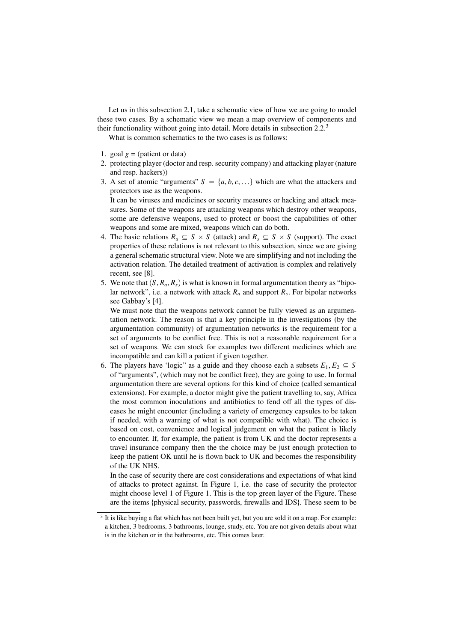Let us in this subsection 2.1, take a schematic view of how we are going to model these two cases. By a schematic view we mean a map overview of components and their functionality without going into detail. More details in subsection 2.2.<sup>3</sup>

What is common schematics to the two cases is as follows:

- 1. goal  $g = ($ patient or data)
- 2. protecting player (doctor and resp. security company) and attacking player (nature and resp. hackers))
- 3. A set of atomic "arguments"  $S = \{a, b, c, ...\}$  which are what the attackers and protectors use as the weapons.

It can be viruses and medicines or security measures or hacking and attack measures. Some of the weapons are attacking weapons which destroy other weapons, some are defensive weapons, used to protect or boost the capabilities of other weapons and some are mixed, weapons which can do both.

- 4. The basic relations  $R_a \subseteq S \times S$  (attack) and  $R_s \subseteq S \times S$  (support). The exact properties of these relations is not relevant to this subsection, since we are giving a general schematic structural view. Note we are simplifying and not including the activation relation. The detailed treatment of activation is complex and relatively recent, see [8].
- 5. We note that  $(S, R_a, R_s)$  is what is known in formal argumentation theory as "bipolar network", i.e. a network with attack *R<sup>a</sup>* and support *R<sup>s</sup>* . For bipolar networks see Gabbay's [4].

We must note that the weapons network cannot be fully viewed as an argumentation network. The reason is that a key principle in the investigations (by the argumentation community) of argumentation networks is the requirement for a set of arguments to be conflict free. This is not a reasonable requirement for a set of weapons. We can stock for examples two different medicines which are incompatible and can kill a patient if given together.

6. The players have 'logic' as a guide and they choose each a subsets  $E_1, E_2 \subseteq S$ of "arguments", (which may not be conflict free), they are going to use. In formal argumentation there are several options for this kind of choice (called semantical extensions). For example, a doctor might give the patient travelling to, say, Africa the most common inoculations and antibiotics to fend off all the types of diseases he might encounter (including a variety of emergency capsules to be taken if needed, with a warning of what is not compatible with what). The choice is based on cost, convenience and logical judgement on what the patient is likely to encounter. If, for example, the patient is from UK and the doctor represents a travel insurance company then the the choice may be just enough protection to keep the patient OK until he is flown back to UK and becomes the responsibility of the UK NHS.

In the case of security there are cost considerations and expectations of what kind of attacks to protect against. In Figure 1, i.e. the case of security the protector might choose level 1 of Figure 1. This is the top green layer of the Figure. These are the items {physical security, passwords, firewalls and IDS}. These seem to be

 $3$  It is like buying a flat which has not been built yet, but you are sold it on a map. For example: a kitchen, 3 bedrooms, 3 bathrooms, lounge, study, etc. You are not given details about what is in the kitchen or in the bathrooms, etc. This comes later.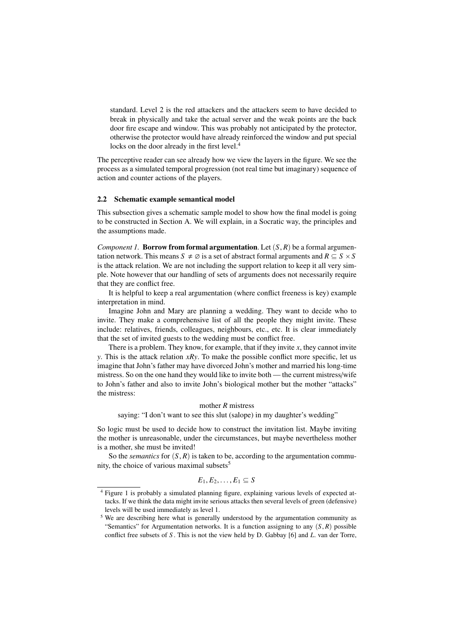standard. Level 2 is the red attackers and the attackers seem to have decided to break in physically and take the actual server and the weak points are the back door fire escape and window. This was probably not anticipated by the protector, otherwise the protector would have already reinforced the window and put special locks on the door already in the first level.<sup>4</sup>

The perceptive reader can see already how we view the layers in the figure. We see the process as a simulated temporal progression (not real time but imaginary) sequence of action and counter actions of the players.

#### 2.2 Schematic example semantical model

This subsection gives a schematic sample model to show how the final model is going to be constructed in Section A. We will explain, in a Socratic way, the principles and the assumptions made.

*Component 1.* **Borrow from formal argumentation.** Let  $(S, R)$  be a formal argumentation network. This means  $S \neq \emptyset$  is a set of abstract formal arguments and  $R \subseteq S \times S$ is the attack relation. We are not including the support relation to keep it all very simple. Note however that our handling of sets of arguments does not necessarily require that they are conflict free.

It is helpful to keep a real argumentation (where conflict freeness is key) example interpretation in mind.

Imagine John and Mary are planning a wedding. They want to decide who to invite. They make a comprehensive list of all the people they might invite. These include: relatives, friends, colleagues, neighbours, etc., etc. It is clear immediately that the set of invited guests to the wedding must be conflict free.

There is a problem. They know, for example, that if they invite  $x$ , they cannot invite *y*. This is the attack relation *xRy*. To make the possible conflict more specific, let us imagine that John's father may have divorced John's mother and married his long-time mistress. So on the one hand they would like to invite both — the current mistress/wife to John's father and also to invite John's biological mother but the mother "attacks" the mistress:

#### mother *R* mistress

saying: "I don't want to see this slut (salope) in my daughter's wedding"

So logic must be used to decide how to construct the invitation list. Maybe inviting the mother is unreasonable, under the circumstances, but maybe nevertheless mother is a mother, she must be invited!

So the *semantics* for  $(S, R)$  is taken to be, according to the argumentation community, the choice of various maximal subsets $5$ 

$$
E_1, E_2, \ldots, E_1 \subseteq S
$$

<sup>4</sup> Figure 1 is probably a simulated planning figure, explaining various levels of expected attacks. If we think the data might invite serious attacks then several levels of green (defensive) levels will be used immediately as level 1.

<sup>&</sup>lt;sup>5</sup> We are describing here what is generally understood by the argumentation community as "Semantics" for Argumentation networks. It is a function assigning to any  $(S, R)$  possible conflict free subsets of *S* . This is not the view held by D. Gabbay [6] and *L*. van der Torre,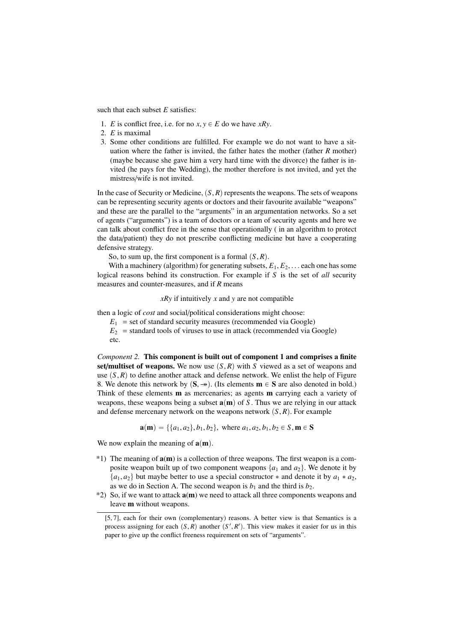such that each subset *E* satisfies:

- 1. *E* is conflict free, i.e. for no  $x, y \in E$  do we have *xRy*.
- 2. *E* is maximal
- 3. Some other conditions are fulfilled. For example we do not want to have a situation where the father is invited, the father hates the mother (father *R* mother) (maybe because she gave him a very hard time with the divorce) the father is invited (he pays for the Wedding), the mother therefore is not invited, and yet the mistress/wife is not invited.

In the case of Security or Medicine,  $(S, R)$  represents the weapons. The sets of weapons can be representing security agents or doctors and their favourite available "weapons" and these are the parallel to the "arguments" in an argumentation networks. So a set of agents ("arguments") is a team of doctors or a team of security agents and here we can talk about conflict free in the sense that operationally ( in an algorithm to protect the data/patient) they do not prescribe conflicting medicine but have a cooperating defensive strategy.

So, to sum up, the first component is a formal  $(S, R)$ .

With a machinery (algorithm) for generating subsets,  $E_1, E_2, \ldots$  each one has some logical reasons behind its construction. For example if *S* is the set of *all* security measures and counter-measures, and if *R* means

*xRy* if intuitively *x* and *y* are not compatible

then a logic of *cost* and social/political considerations might choose:

- $E_1$  = set of standard security measures (recommended via Google)
- $E_2$  = standard tools of viruses to use in attack (recommended via Google) etc.

*Component 2.* This component is built out of component 1 and comprises a finite set/multiset of weapons. We now use  $(S, R)$  with *S* viewed as a set of weapons and use  $(S, R)$  to define another attack and defense network. We enlist the help of Figure 8. We denote this network by  $(S, \rightarrow)$ . (Its elements  $m \in S$  are also denoted in bold.) Think of these elements m as mercenaries; as agents m carrying each a variety of weapons, these weapons being a subset  $a(m)$  of *S*. Thus we are relying in our attack and defense mercenary network on the weapons network  $(S, R)$ . For example

 $\mathbf{a}(\mathbf{m}) = \{ \{a_1, a_2\}, b_1, b_2\}, \text{ where } a_1, a_2, b_1, b_2 \in S, \mathbf{m} \in S$ 

We now explain the meaning of  $a(m)$ .

- $*1)$  The meaning of  $a(m)$  is a collection of three weapons. The first weapon is a composite weapon built up of two component weapons  $\{a_1 \text{ and } a_2\}$ . We denote it by  $\{a_1, a_2\}$  but maybe better to use a special constructor  $*$  and denote it by  $a_1 * a_2$ , as we do in Section A. The second weapon is  $b_1$  and the third is  $b_2$ .
- $*2$ ) So, if we want to attack  $a(m)$  we need to attack all three components weapons and leave m without weapons.

<sup>[5, 7],</sup> each for their own (complementary) reasons. A better view is that Semantics is a process assigning for each  $(S, R)$  another  $(S', R')$ . This view makes it easier for us in this paper to give up the conflict freeness requirement on sets of "arguments" paper to give up the conflict freeness requirement on sets of "arguments".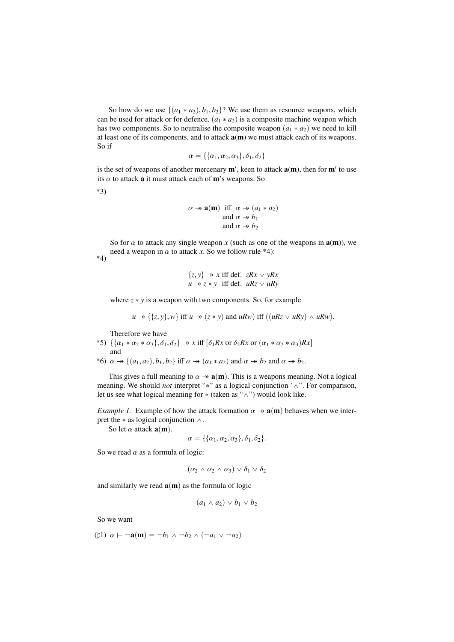So how do we use  $\{(a_1 * a_2), b_1, b_2\}$ ? We use them as resource weapons, which can be used for attack or for defence.  $(a_1 * a_2)$  is a composite machine weapon which has two components. So to neutralise the composite weapon  $(a_1 * a_2)$  we need to kill at least one of its components, and to attack  $a(m)$  we must attack each of its weapons. So if

$$
\alpha = \{\{\alpha_1, \alpha_2, \alpha_3\}, \delta_1, \delta_2\}
$$

is the set of weapons of another mercenary  $m'$ , keen to attack  $a(m)$ , then for  $m'$  to use its  $\alpha$  to attack **a** it must attack each of **m**'s weapons. So

\*3)

$$
\alpha \twoheadrightarrow \mathbf{a(m)} \text{ iff } \alpha \twoheadrightarrow (a_1 * a_2)
$$
  
and  $\alpha \twoheadrightarrow b_1$   
and  $\alpha \twoheadrightarrow b_2$ 

So for  $\alpha$  to attack any single weapon  $x$  (such as one of the weapons in  $a(m)$ ), we need a weapon in  $\alpha$  to attack *x*. So we follow rule \*4): \*4)

$$
\{z, y\} \twoheadrightarrow x \text{ iff def. } zRx \vee yRx
$$
  

$$
u \twoheadrightarrow z * y \text{ iff def. } uRz \vee uRy
$$

where  $z * y$  is a weapon with two components. So, for example

$$
u \twoheadrightarrow \{\{z, y\}, w\}
$$
 iff  $u \twoheadrightarrow (z * y)$  and  $uRw$ ) iff  $((uRz \vee uRy) \wedge uRw)$ .

Therefore we have

- \*5)  $\{\{\alpha_1 * \alpha_2 * \alpha_3\}, \delta_1, \delta_2\} \rightarrow x \text{ iff } [\delta_1 R x \text{ or } \delta_2 R x \text{ or } (\alpha_1 * \alpha_2 * \alpha_3) R x]$ and
- \*6)  $\alpha \rightarrow \{(a_1, a_2), b_1, b_2\}$  iff  $\alpha \rightarrow (a_1 * a_2)$  and  $\alpha \rightarrow b_2$  and  $\alpha \rightarrow b_2$ .

This gives a full meaning to  $\alpha \rightarrow \mathbf{a}(\mathbf{m})$ . This is a weapons meaning. Not a logical meaning. We should *not* interpret "\*" as a logical conjunction ' $\wedge$ ". For comparison, let us see what logical meaning for  $*($  (taken as " $\wedge$ ") would look like.

*Example 1.* Example of how the attack formation  $\alpha \rightarrow \mathbf{a}(\mathbf{m})$  behaves when we interpret the  $*$  as logical conjunction  $\wedge$ .

So let  $\alpha$  attack  $\mathbf{a}(\mathbf{m})$ .

$$
\alpha = \{\{\alpha_1,\alpha_2,\alpha_3\},\delta_1,\delta_2\}.
$$

So we read  $\alpha$  as a formula of logic:

$$
(\alpha_2 \wedge \alpha_2 \wedge \alpha_3) \vee \delta_1 \vee \delta_2
$$

and similarly we read  $a(m)$  as the formula of logic

 $(a_1 \wedge a_2) \vee b_1 \vee b_2$ 

So we want

( $\sharp$ 1)  $\alpha \vdash \neg$ **a**(**m**) =  $\neg$ *b*<sub>1</sub>  $\wedge \neg$ *b*<sub>2</sub>  $\wedge$   $(\neg$ *a*<sub>1</sub>  $\vee \neg$ *a*<sub>2</sub>)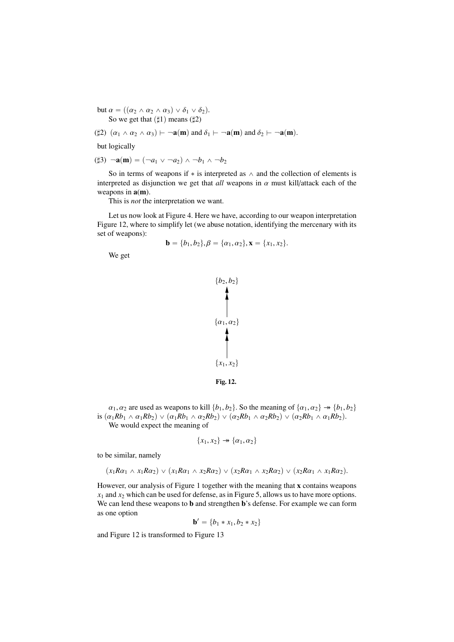but  $\alpha = ((\alpha_2 \wedge \alpha_2 \wedge \alpha_3) \vee \delta_1 \vee \delta_2).$ So we get that  $(\sharp 1)$  means  $(\sharp 2)$ 

$$
(\sharp 2) \ (\alpha_1 \wedge \alpha_2 \wedge \alpha_3) \vdash \neg \mathbf{a(m)} \text{ and } \delta_1 \vdash \neg \mathbf{a(m)} \text{ and } \delta_2 \vdash \neg \mathbf{a(m)}.
$$

but logically

$$
(\sharp 3) \neg \mathbf{a}(\mathbf{m}) = (\neg a_1 \lor \neg a_2) \land \neg b_1 \land \neg b_2
$$

So in terms of weapons if  $*$  is interpreted as  $\wedge$  and the collection of elements is interpreted as disjunction we get that *all* weapons in  $\alpha$  must kill/attack each of the weapons in  $a(m)$ .

This is *not* the interpretation we want.

Let us now look at Figure 4. Here we have, according to our weapon interpretation Figure 12, where to simplify let (we abuse notation, identifying the mercenary with its set of weapons):

$$
\mathbf{b} = \{b_1, b_2\}, \beta = \{\alpha_1, \alpha_2\}, \mathbf{x} = \{x_1, x_2\}.
$$

We get



 $\alpha_1, \alpha_2$  are used as weapons to kill  $\{b_1, b_2\}$ . So the meaning of  $\{\alpha_1, \alpha_2\} \rightarrow \{b_1, b_2\}$ is  $(\alpha_1 Rb_1 \wedge \alpha_1 Rb_2) \vee (\alpha_1 Rb_1 \wedge \alpha_2 Rb_2) \vee (\alpha_2 Rb_1 \wedge \alpha_2 Rb_2) \vee (\alpha_2 Rb_1 \wedge \alpha_1 Rb_2).$ We would expect the meaning of

$$
\{x_1, x_2\} \rightarrow \{\alpha_1, \alpha_2\}
$$

to be similar, namely

$$
(x_1R\alpha_1 \wedge x_1R\alpha_2) \vee (x_1R\alpha_1 \wedge x_2R\alpha_2) \vee (x_2R\alpha_1 \wedge x_2R\alpha_2) \vee (x_2R\alpha_1 \wedge x_1R\alpha_2).
$$

However, our analysis of Figure 1 together with the meaning that x contains weapons *x*<sup>1</sup> and *x*<sup>2</sup> which can be used for defense, as in Figure 5, allows us to have more options. We can lend these weapons to b and strengthen b's defense. For example we can form as one option

$$
\mathbf{b}' = \{b_1 * x_1, b_2 * x_2\}
$$

and Figure 12 is transformed to Figure 13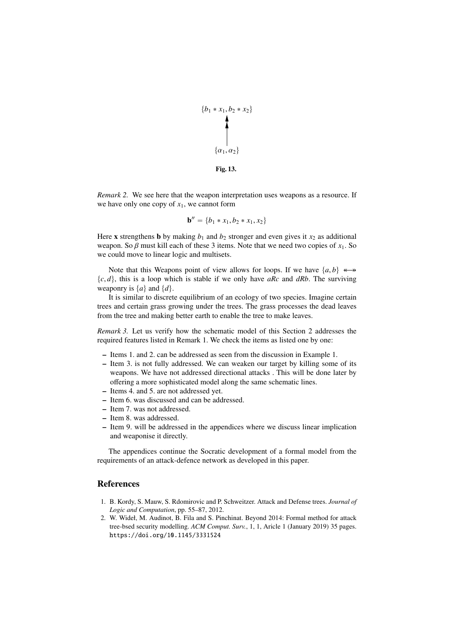

Fig. 13.

*Remark 2.* We see here that the weapon interpretation uses weapons as a resource. If we have only one copy of  $x_1$ , we cannot form

$$
\mathbf{b}'' = \{b_1 * x_1, b_2 * x_1, x_2\}
$$

Here **x** strengthens **b** by making  $b_1$  and  $b_2$  stronger and even gives it  $x_2$  as additional weapon. So  $\beta$  must kill each of these 3 items. Note that we need two copies of  $x_1$ . So we could move to linear logic and multisets.

Note that this Weapons point of view allows for loops. If we have  $\{a, b\} \leftrightarrow$  $\{c, d\}$ , this is a loop which is stable if we only have *aRc* and *dRb*. The surviving weaponry is  $\{a\}$  and  $\{d\}$ .

It is similar to discrete equilibrium of an ecology of two species. Imagine certain trees and certain grass growing under the trees. The grass processes the dead leaves from the tree and making better earth to enable the tree to make leaves.

*Remark 3.* Let us verify how the schematic model of this Section 2 addresses the required features listed in Remark 1. We check the items as listed one by one:

- Items 1. and 2. can be addressed as seen from the discussion in Example 1.
- Item 3. is not fully addressed. We can weaken our target by killing some of its weapons. We have not addressed directional attacks . This will be done later by offering a more sophisticated model along the same schematic lines.
- Items 4. and 5. are not addressed yet.
- Item 6. was discussed and can be addressed.
- Item 7. was not addressed.
- Item 8. was addressed.
- Item 9. will be addressed in the appendices where we discuss linear implication and weaponise it directly.

The appendices continue the Socratic development of a formal model from the requirements of an attack-defence network as developed in this paper.

## References

- 1. B. Kordy, S. Mauw, S. Rdomirovic and P. Schweitzer. Attack and Defense trees. *Journal of Logic and Computation*, pp. 55–87, 2012.
- 2. W. Wideł, M. Audinot, B. Fila and S. Pinchinat. Beyond 2014: Formal method for attack tree-bsed security modelling. *ACM Comput. Surv.*, 1, 1, Aricle 1 (January 2019) 35 pages. https://doi.org/10.1145/3331524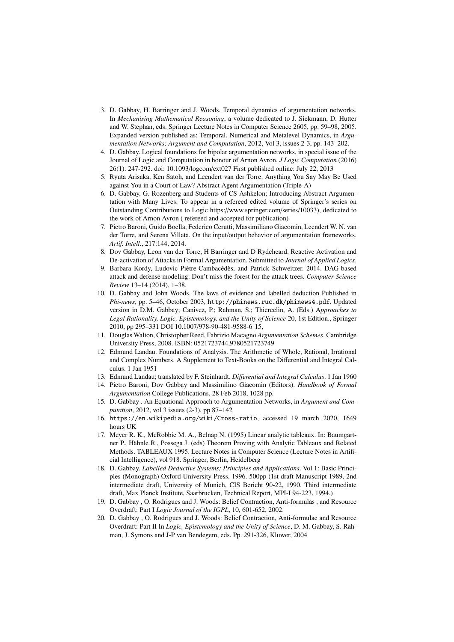- 3. D. Gabbay, H. Barringer and J. Woods. Temporal dynamics of argumentation networks. In *Mechanising Mathematical Reasoning*, a volume dedicated to J. Siekmann, D. Hutter and W. Stephan, eds. Springer Lecture Notes in Computer Science 2605, pp. 59–98, 2005. Expanded version published as: Temporal, Numerical and Metalevel Dynamics, in *Argumentation Networks; Argument and Computation*, 2012, Vol 3, issues 2-3, pp. 143–202.
- 4. D. Gabbay. Logical foundations for bipolar argumentation networks, in special issue of the Journal of Logic and Computation in honour of Arnon Avron, *J Logic Computation* (2016) 26(1): 247-292. doi: 10.1093/logcom/ext027 First published online: July 22, 2013
- 5. Ryuta Arisaka, Ken Satoh, and Leendert van der Torre. Anything You Say May Be Used against You in a Court of Law? Abstract Agent Argumentation (Triple-A)
- 6. D. Gabbay, G. Rozenberg and Students of CS Ashkelon; Introducing Abstract Argumentation with Many Lives: To appear in a refereed edited volume of Springer's series on Outstanding Contributions to Logic https://www.springer.com/series/10033), dedicated to the work of Arnon Avron ( refereed and accepted for publication)
- 7. Pietro Baroni, Guido Boella, Federico Cerutti, Massimiliano Giacomin, Leendert W. N. van der Torre, and Serena Villata. On the input/output behavior of argumentation frameworks. *Artif. Intell.*, 217:144, 2014.
- 8. Dov Gabbay, Leon van der Torre, H Barringer and D Rydeheard. Reactive Activation and De-activation of Attacks in Formal Argumentation. Submitted to *Journal of Applied Logics*.
- 9. Barbara Kordy, Ludovic Piètre-Cambacédès, and Patrick Schweitzer. 2014. DAG-based attack and defense modeling: Don't miss the forest for the attack trees. *Computer Science Review* 13–14 (2014), 1–38.
- 10. D. Gabbay and John Woods. The laws of evidence and labelled deduction Published in *Phi-news*, pp. 5–46, October 2003, http://phinews.ruc.dk/phinews4.pdf. Updated version in D.M. Gabbay; Canivez, P.; Rahman, S.; Thiercelin, A. (Eds.) A*pproaches to Legal Rationality, Logic, Epistemology, and the Unity of Science* 20, 1st Edition., Springer 2010, pp 295–331 DOI 10.1007/978-90-481-9588-6 15,
- 11. Douglas Walton, Christopher Reed, Fabrizio Macagno *Argumentation Schemes*. Cambridge University Press, 2008. ISBN: 0521723744,9780521723749
- 12. Edmund Landau. Foundations of Analysis. The Arithmetic of Whole, Rational, Irrational and Complex Numbers. A Supplement to Text-Books on the Differential and Integral Calculus. 1 Jan 1951
- 13. Edmund Landau; translated by F. Steinhardt. *Di*ff*erential and Integral Calculus*. 1 Jan 1960
- 14. Pietro Baroni, Dov Gabbay and Massimilino Giacomin (Editors). *Handbook of Formal Argumentation* College Publications, 28 Feb 2018, 1028 pp.
- 15. D. Gabbay . An Equational Approach to Argumentation Networks, in *Argument and Computation*, 2012, vol 3 issues (2-3), pp 87–142
- 16. https://en.wikipedia.org/wiki/Cross-ratio, accessed 19 march 2020, 1649 hours UK
- 17. Meyer R. K., McRobbie M. A., Belnap N. (1995) Linear analytic tableaux. In: Baumgartner P., Hähnle R., Possega J. (eds) Theorem Proving with Analytic Tableaux and Related Methods. TABLEAUX 1995. Lecture Notes in Computer Science (Lecture Notes in Artificial Intelligence), vol 918. Springer, Berlin, Heidelberg
- 18. D. Gabbay. *Labelled Deductive Systems; Principles and Applications*. Vol 1: Basic Principles (Monograph) Oxford University Press, 1996. 500pp (1st draft Manuscript 1989, 2nd intermediate draft, University of Munich, CIS Bericht 90-22, 1990. Third intermediate draft, Max Planck Institute, Saarbrucken, Technical Report, MPI-I 94-223, 1994.)
- 19. D. Gabbay , O. Rodrigues and J. Woods: Belief Contraction, Anti-formulas , and Resource Overdraft: Part I *Logic Journal of the IGPL*, 10, 601-652, 2002.
- 20. D. Gabbay , O. Rodrigues and J. Woods: Belief Contraction, Anti-formulae and Resource Overdraft: Part II In *Logic, Epistemology and the Unity of Science*, D. M. Gabbay, S. Rahman, J. Symons and J-P van Bendegem, eds. Pp. 291-326, Kluwer, 2004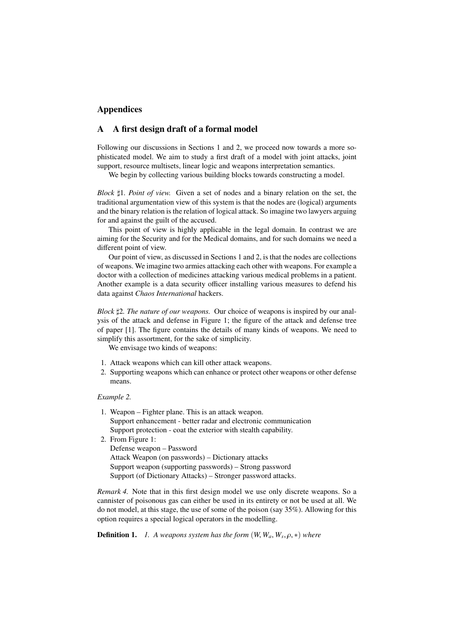## Appendices

## A A first design draft of a formal model

Following our discussions in Sections 1 and 2, we proceed now towards a more sophisticated model. We aim to study a first draft of a model with joint attacks, joint support, resource multisets, linear logic and weapons interpretation semantics.

We begin by collecting various building blocks towards constructing a model.

*Block*  $\sharp$ 1*. Point of view.* Given a set of nodes and a binary relation on the set, the traditional argumentation view of this system is that the nodes are (logical) arguments and the binary relation is the relation of logical attack. So imagine two lawyers arguing for and against the guilt of the accused.

This point of view is highly applicable in the legal domain. In contrast we are aiming for the Security and for the Medical domains, and for such domains we need a different point of view.

Our point of view, as discussed in Sections 1 and 2, is that the nodes are collections of weapons. We imagine two armies attacking each other with weapons. For example a doctor with a collection of medicines attacking various medical problems in a patient. Another example is a data security officer installing various measures to defend his data against *Chaos International* hackers.

*Block*  $\sharp 2$ *. The nature of our weapons.* Our choice of weapons is inspired by our analysis of the attack and defense in Figure 1; the figure of the attack and defense tree of paper [1]. The figure contains the details of many kinds of weapons. We need to simplify this assortment, for the sake of simplicity.

We envisage two kinds of weapons:

- 1. Attack weapons which can kill other attack weapons.
- 2. Supporting weapons which can enhance or protect other weapons or other defense means.

#### *Example 2.*

- 1. Weapon Fighter plane. This is an attack weapon. Support enhancement - better radar and electronic communication Support protection - coat the exterior with stealth capability.
- 2. From Figure 1: Defense weapon – Password Attack Weapon (on passwords) – Dictionary attacks Support weapon (supporting passwords) – Strong password Support (of Dictionary Attacks) – Stronger password attacks.

*Remark 4.* Note that in this first design model we use only discrete weapons. So a cannister of poisonous gas can either be used in its entirety or not be used at all. We do not model, at this stage, the use of some of the poison (say 35%). Allowing for this option requires a special logical operators in the modelling.

**Definition 1.** *1. A weapons system has the form*  $(W, W_a, W_s, \rho, *)$  where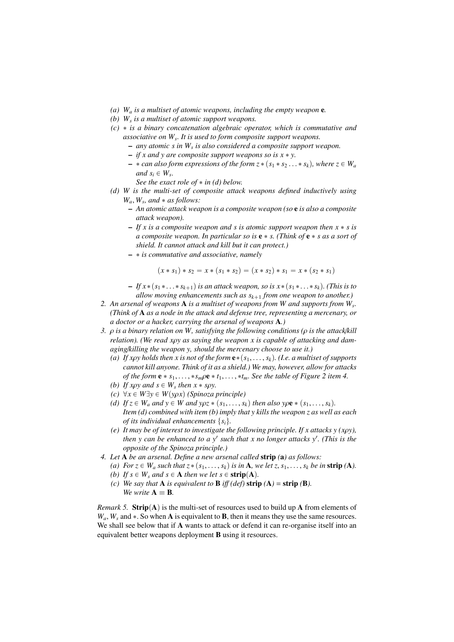- *(a) W<sup>a</sup> is a multiset of atomic weapons, including the empty weapon* e*.*
- *(b) W<sup>s</sup> is a multiset of atomic support weapons.*
- *(c)* ˚ *is a binary concatenation algebraic operator, which is commutative and associative on W<sup>s</sup> . It is used to form composite support weapons.*
	- *any atomic s in W<sup>s</sup> is also considered a composite support weapon.*
		- $-$  *if x and y are composite support weapons so is x \* y.*
		- $*$  *can also form expressions of the form z* $*$  ( $s_1 * s_2 ... * s_k$ ), where  $z \in W_a$ *and*  $s_i \in W_s$ .
			- *See the exact role of*  $*$  *in (d) below.*
- *(d) W is the multi-set of composite attack weapons defined inductively using*  $W_a$ ,  $W_s$ , and  $*$  *as follows:*<br>  $\overline{P} = A_n$  *atomic attack wea* 
	- *An atomic attack weapon is a composite weapon (so* e *is also a composite attack weapon).*
	- $-If x is a composite weapon and s is atomic support weapon then  $x * s$  is$ *a composite weapon. In particular so is* e ˚ *s. (Think of* e ˚ *s as a sort of shield. It cannot attack and kill but it can protect.)*
	- ˚ *is commutative and associative, namely*

$$
(x * s_1) * s_2 = x * (s_1 * s_2) = (x * s_2) * s_1 = x * (s_2 * s_1)
$$

 $-Ifx*(s_1*\ldots *s_{k+1})$  *is an attack weapon, so is*  $x*(s_1*\ldots *s_k)$ . (This is to *allow moving enhancements such as*  $s_{k+1}$  *from one weapon to another.*)

- *2. An arsenal of weapons* A *is a multiset of weapons from W and supports from W<sup>s</sup> . (Think of* A *as a node in the attack and defense tree, representing a mercenary, or a doctor or a hacker, carrying the arsenal of weapons* A*.)*
- *3.* ρ *is a binary relation on W, satisfying the following conditions (*ρ *is the attack*/*kill relation). (We read x*ρ*y as saying the weapon x is capable of attacking and damaging*/*killing the weapon y, should the mercenary choose to use it.)*
	- *(a) If xpy holds then x is not of the form*  $e*(s_1, \ldots, s_k)$ *. (I.e. a multiset of supports cannot kill anyone. Think of it as a shield.) We may, however, allow for attacks of the form*  $e * s_1, \ldots, *s_m \rho e * t_1, \ldots, *t_m$ . See the table of Figure 2 item 4.
	- *(b) If xpy and s*  $\in W_s$  *then x*  $*$  *spy.*<br>*(c)*  $\forall x \in W \exists y \in W(y \cap x)$  *(Spinoza*)
	- $(c) \forall x \in W \exists y \in W(y \rho x)$  *(Spinoza principle)*
	- *(d) If*  $z \in W_a$  *and*  $y \in W$  *and*  $y \in \{s_1, \ldots, s_k\}$  *then also y* $\rho \mathbf{e} * (s_1, \ldots, s_k)$ *. Item (d) combined with item (b) imply that y kills the weapon z as well as each of its individual enhancements*  $\{s_i\}$ .
	- *(e) It may be of interest to investigate the following principle. If x attacks y (x*ρ*y), then y can be enhanced to a y*<sup>1</sup> *such that x no longer attacks y*<sup>1</sup> *. (This is the opposite of the Spinoza principle.)*
- *4. Let* A *be an arsenal. Define a new arsenal called* strip *(*a*) as follows:*
	- *(a) For*  $z \in W_a$  *such that*  $z * (s_1, \ldots, s_k)$  *is in* **A***, we let*  $z, s_1, \ldots, s_k$  *be in* strip *(A).*
	- *(b)* If  $s \in W_s$  *and*  $s \in A$  *then we let*  $s \in \text{strip}(A)$ *.*
	- *(c) We say that* **A** *is equivalent to* **B** *iff (def)* **strip**  $(A) =$  **strip**  $(B)$ *. We write*  $A \equiv B$ *.*

*Remark 5.* Strip $(A)$  is the multi-set of resources used to build up A from elements of  $W_a$ ,  $W_s$  and  $\ast$ . So when **A** is equivalent to **B**, then it means they use the same resources. We shall see below that if **A** wants to attack or defend it can re-organise itself into an equivalent better weapons deployment B using it resources.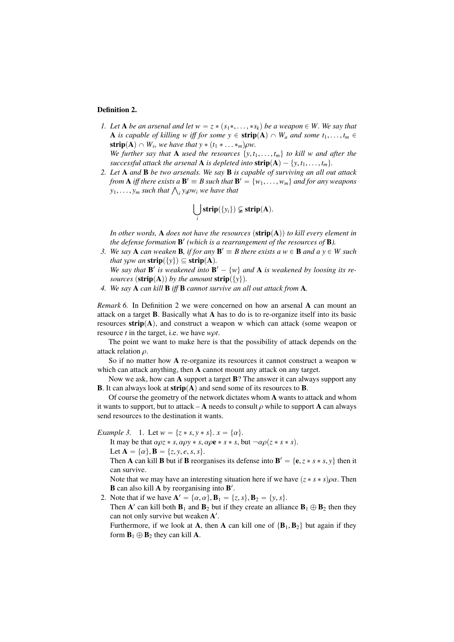#### Definition 2.

*1.* Let **A** be an arsenal and let  $w = z * (s_1 *, \ldots, *s_k)$  be a weapon  $\in W$ . We say that A is capable of killing w iff for some  $y \in \text{strip}(A) \cap W_a$  and some  $t_1, \ldots, t_m \in$ **strip(A)**  $\cap$   $W_s$ , we have that y  $*(t_1 * \ldots *_{m})\rho w$ .<br>We further say that A used the resources by t *We further say that* **A** *used the resources*  $\{y, t_1, \ldots, t_m\}$  *to kill w and after the* 

*successful attack the arsenal* **A** *is depleted into* **strip** $(A) - \{y, t_1, \ldots, t_m\}$ .

*2. Let* A *and* B *be two arsenals. We say* B *is capable of surviving an all out attack from* **A** *iff there exists a*  $\mathbf{B}' \equiv B$  *such that*  $\mathbf{B}' = \{w_1, \ldots, w_m\}$  *and for any weapons*<br>*N*<sub>1</sub>  $\cdots$  *N*<sub>2</sub> *such that*  $\wedge$  *N*<sub>2</sub>*OW; we have that y*<sub>1</sub>,..., *y<sub>m</sub>* such that  $\bigwedge_i y_i \rho w_i$  we have that *y*<sub>1</sub>,..., *y<sub>m</sub>* such that  $\bigwedge_i y_i \rho w_i$  we have that

$$
\bigcup_i \mathbf{strip}(\{y_i\}) \subsetneq \mathbf{strip}(\mathbf{A}).
$$

*In other words,* **A** *does not have the resources*  $(\text{strip}(A))$  *to kill every element in the defense formation* **B'** (which is a rearrangement of the resources of **B**).

*3.* We say **A** can weaken **B**, if for any  $B' \equiv B$  there exists a  $w \in B$  and  $a y \in W$  such *that yow an*  $\text{strip}(\{y\}) \subseteq \text{strip}(A)$ *.* 

*We say that* **B**<sup> $\prime$ </sup> *is weakened into* **B**<sup> $\prime$ </sup> – {*w*} *and* **A** *is weakened by loosing its resources*  $(\text{strip}(A))$  *by the amount*  $\text{strip}(\{y\})$ *.* 

*4. We say* A *can kill* B *i*ff B *cannot survive an all out attack from* A*.*

*Remark 6.* In Definition 2 we were concerned on how an arsenal A can mount an attack on a target B. Basically what A has to do is to re-organize itself into its basic resources  $strip(A)$ , and construct a weapon w which can attack (some weapon or resource *<sup>t</sup>* in the target, i.e. we have *<sup>w</sup>*ρ*t*.

The point we want to make here is that the possibility of attack depends on the attack relation  $\rho$ .

So if no matter how A re-organize its resources it cannot construct a weapon w which can attack anything, then **A** cannot mount any attack on any target.

Now we ask, how can  $\bf{A}$  support a target  $\bf{B}$ ? The answer it can always support any **B**. It can always look at  $\text{strip}(A)$  and send some of its resources to **B**.

Of course the geometry of the network dictates whom A wants to attack and whom it wants to support, but to attack – **A** needs to consult  $\rho$  while to support **A** can always send resources to the destination it wants.

*Example 3.* 1. Let  $w = \{z * s, y * s\}$ .  $x = \{\alpha\}.$ 

It may be that  $\alpha \rho z * s$ ,  $\alpha \rho y * s$ ,  $\alpha \rho e * s * s$ , but  $\neg \alpha \rho (z * s * s)$ . Let  $A = \{\alpha\}, B = \{z, y, e, s, s\}.$ 

Then **A** can kill **B** but if **B** reorganises its defense into  $\mathbf{B}' = {\mathbf{e}, z * s * s, y}$  then it can survive.

Note that we may have an interesting situation here if we have  $(z * s * s)\rho\alpha$ . Then **B** can also kill **A** by reorganising into **B'**.

2. Note that if we have  $\mathbf{A}' = \{\alpha, \alpha\}, \mathbf{B}_1 = \{\zeta, s\}, \mathbf{B}_2 = \{y, s\}.$ <br>Then  $\mathbf{A}'$  can kill both **B**, and **B**, but if they create an alliance

Then A' can kill both  $B_1$  and  $B_2$  but if they create an alliance  $B_1 \oplus B_2$  then they can not only survive but weaken A'.

Furthermore, if we look at A, then A can kill one of  ${B_1, B_2}$  but again if they form  $B_1 \oplus B_2$  they can kill **A**.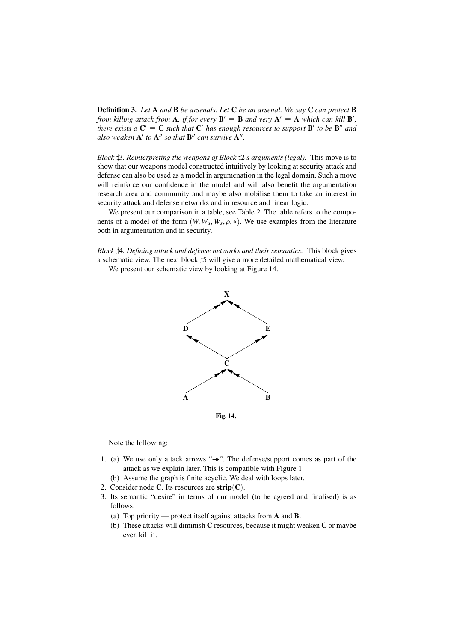Definition 3. *Let* A *and* B *be arsenals. Let* C *be an arsenal. We say* C *can protect* B *from killing attack from* **A**, *if for every*  $\mathbf{B}' \equiv \mathbf{B}$  *and very*  $\mathbf{A}' \equiv \mathbf{A}$  *which can kill*  $\mathbf{B}'$ , *there exists a*  $C' \equiv C$  *such that*  $C'$  *has enough resources to support*  $B'$  *to be*  $B''$  *and also weaken*  $A'$  *to*  $A''$  *so that*  $B''$  *can survive*  $A''$ *.* 

*Block* 73*. Reinterpreting the weapons of Block* 72 *s arguments (legal).* This move is to show that our weapons model constructed intuitively by looking at security attack and defense can also be used as a model in argumenation in the legal domain. Such a move will reinforce our confidence in the model and will also benefit the argumentation research area and community and maybe also mobilise them to take an interest in security attack and defense networks and in resource and linear logic.

We present our comparison in a table, see Table 2. The table refers to the components of a model of the form  $(W, W_a, W_s, \rho, *)$ . We use examples from the literature both in argumentation and in security both in argumentation and in security.

*Block* 74*. Defining attack and defense networks and their semantics.* This block gives a schematic view. The next block  $\sharp 5$  will give a more detailed mathematical view.

We present our schematic view by looking at Figure 14.



Fig. 14.

Note the following:

- 1. (a) We use only attack arrows " $\rightarrow$ ". The defense/support comes as part of the attack as we explain later. This is compatible with Figure 1.
	- (b) Assume the graph is finite acyclic. We deal with loops later.
- 2. Consider node C. Its resources are  $\text{strip}(C)$ .
- 3. Its semantic "desire" in terms of our model (to be agreed and finalised) is as follows:
	- (a) Top priority protect itself against attacks from A and B.
	- (b) These attacks will diminish C resources, because it might weaken C or maybe even kill it.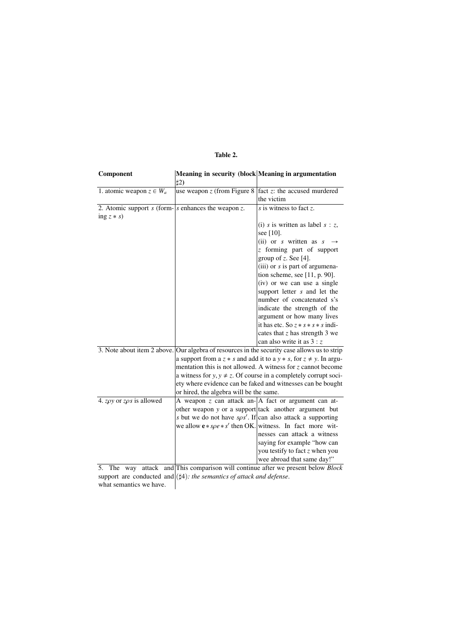## Table 2.

| Component                                           | Meaning in security (block Meaning in argumentation                                          |                                                                              |
|-----------------------------------------------------|----------------------------------------------------------------------------------------------|------------------------------------------------------------------------------|
|                                                     | #2)                                                                                          |                                                                              |
| 1. atomic weapon $z \in W_a$                        | use weapon $z$ (from Figure 8)                                                               | $\sqrt{\text{fact}}$ z: the accused murdered                                 |
|                                                     |                                                                                              | the victim                                                                   |
| 2. Atomic support s (form- s enhances the weapon z. |                                                                                              | $\overline{s}$ is witness to fact z.                                         |
| ing $z * s$ )                                       |                                                                                              |                                                                              |
|                                                     |                                                                                              | (i) s is written as label $s : z$ ,                                          |
|                                                     |                                                                                              | see $[10]$ .                                                                 |
|                                                     |                                                                                              | (ii) or s written as $s \rightarrow$                                         |
|                                                     |                                                                                              | z forming part of support                                                    |
|                                                     |                                                                                              | group of $z$ . See [4].                                                      |
|                                                     |                                                                                              | (iii) or $s$ is part of argumena-                                            |
|                                                     |                                                                                              | tion scheme, see $[11, p. 90]$ .                                             |
|                                                     |                                                                                              | (iv) or we can use a single                                                  |
|                                                     |                                                                                              | support letter s and let the                                                 |
|                                                     |                                                                                              | number of concatenated s's                                                   |
|                                                     |                                                                                              | indicate the strength of the                                                 |
|                                                     |                                                                                              | argument or how many lives                                                   |
|                                                     |                                                                                              | it has etc. So $z * s * s * s$ indi-                                         |
|                                                     |                                                                                              | cates that $z$ has strength 3 we                                             |
|                                                     |                                                                                              | can also write it as $3:z$                                                   |
|                                                     | 3. Note about item 2 above. Our algebra of resources in the security case allows us to strip |                                                                              |
|                                                     |                                                                                              | a support from a $z * s$ and add it to a $y * s$ , for $z \neq y$ . In argu- |
|                                                     | mentation this is not allowed. A witness for z cannot become                                 |                                                                              |
|                                                     | a witness for $y, y \neq z$ . Of course in a completely corrupt soci-                        |                                                                              |
|                                                     | ety where evidence can be faked and witnesses can be bought                                  |                                                                              |
|                                                     | or hired, the algebra will be the same.                                                      |                                                                              |
| 4. z $\rho y$ or z $\rho s$ is allowed              |                                                                                              | A weapon z can attack an- $ A $ fact or argument can at-                     |
|                                                     |                                                                                              | other weapon y or a support tack another argument but                        |
|                                                     |                                                                                              | s but we do not have $s\rho s'$ . If can also attack a supporting            |
|                                                     |                                                                                              | we allow $e * s\rho e * s'$ then OK. witness. In fact more wit-              |
|                                                     |                                                                                              | nesses can attack a witness                                                  |
|                                                     |                                                                                              | saying for example "how can                                                  |
|                                                     |                                                                                              | you testify to fact z when you                                               |
|                                                     |                                                                                              | wee abroad that same day!"                                                   |

5. The way attack and This comparison will continue after we present below *Block* support are conducted and  $(\sharp 4)$ : the semantics of attack and defense.

what semantics we have.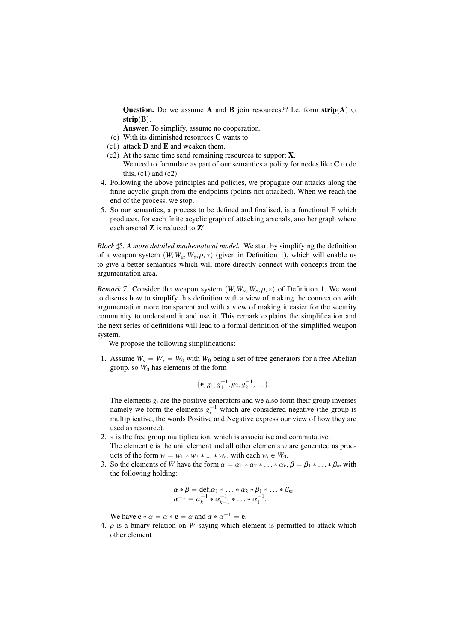**Question.** Do we assume A and B join resources?? I.e. form  $\text{strip}(A)$   $\cup$ strip $(B)$ .

Answer. To simplify, assume no cooperation.

(c) With its diminished resources C wants to

- (c1) attack  **and**  $**E**$  **and weaken them.**
- (c2) At the same time send remaining resources to support X.
	- We need to formulate as part of our semantics a policy for nodes like C to do this,  $(c1)$  and  $(c2)$ .
- 4. Following the above principles and policies, we propagate our attacks along the finite acyclic graph from the endpoints (points not attacked). When we reach the end of the process, we stop.
- 5. So our semantics, a process to be defined and finalised, is a functional  $\mathbb F$  which produces, for each finite acyclic graph of attacking arsenals, another graph where each arsenal  $Z$  is reduced to  $Z'$ .

*Block* 75*. A more detailed mathematical model.* We start by simplifying the definition of a weapon system  $(W, W_a, W_s, \rho, *)$  (given in Definition 1), which will enable us<br>to give a better semantics which will more directly connect with concepts from the to give a better semantics which will more directly connect with concepts from the argumentation area.

*Remark 7.* Consider the weapon system  $(W, W_a, W_s, \rho, *)$  of Definition 1. We want to discuss how to simplify this definition with a view of making the connection with to discuss how to simplify this definition with a view of making the connection with argumentation more transparent and with a view of making it easier for the security community to understand it and use it. This remark explains the simplification and the next series of definitions will lead to a formal definition of the simplified weapon system.

We propose the following simplifications:

1. Assume  $W_a = W_s = W_0$  with  $W_0$  being a set of free generators for a free Abelian group. so  $W_0$  has elements of the form

$$
\{e, g_1, g_1^{-1}, g_2, g_2^{-1}, \ldots\}.
$$

The elements  $g_i$  are the positive generators and we also form their group inverses namely we form the elements  $g_i^{-1}$  which are considered negative (the group is multiplicative, the words Positive and Negative express our view of how they are used as resource).

- 2.  $\ast$  is the free group multiplication, which is associative and commutative. The element e is the unit element and all other elements *w* are generated as products of the form  $w = w_1 * w_2 * ... * w_n$ , with each  $w_i \in W_0$ .
- 3. So the elements of *W* have the form  $\alpha = \alpha_1 * \alpha_2 * ... * \alpha_k$ ,  $\beta = \beta_1 * ... * \beta_m$  with the following holding:

$$
\alpha * \beta = \text{def.} \alpha_1 * \dots * \alpha_k * \beta_1 * \dots * \beta_m
$$
  

$$
\alpha^{-1} = \alpha_k^{-1} * \alpha_{k-1}^{-1} * \dots * \alpha_1^{-1}.
$$

We have  $\mathbf{e} * \alpha = \alpha * \mathbf{e} = \alpha$  and  $\alpha * \alpha^{-1} = \mathbf{e}$ .<br>  $\alpha$  is a binary relation on W saying which e

4.  $\rho$  is a binary relation on *W* saying which element is permitted to attack which other element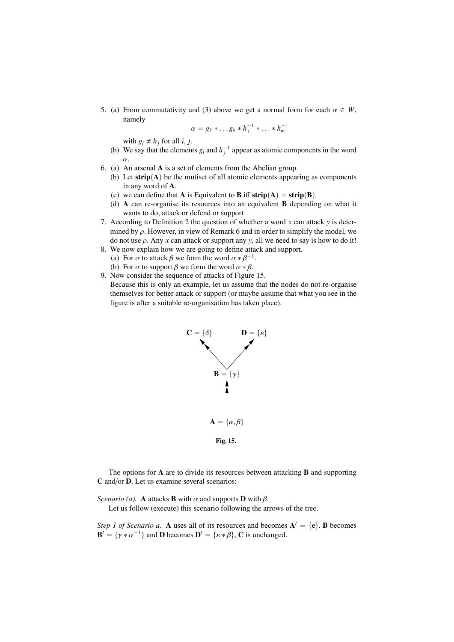5. (a) From commutativity and (3) above we get a normal form for each  $\alpha \in W$ , namely

$$
\alpha = g_1 \ast \dots g_k \ast h_1^{-1} \ast \dots \ast h_m^{-1}
$$

with  $g_i \neq h_j$  for all *i*, *j*.

- (b) We say that the elements  $g_i$  and  $h_j^{-1}$  appear as atomic components in the word α.
- 6. (a) An arsenal A is a set of elements from the Abelian group.
	- (b) Let  $\text{strip}(A)$  be the mutiset of all atomic elements appearing as components in any word of A.
	- (c) we can define that **A** is Equivalent to **B** iff  $\text{strip}(A) = \text{strip}(B)$ .
	- (d) A can re-organise its resources into an equivalent B depending on what it wants to do, attack or defend or support
- 7. According to Definition 2 the question of whether a word *x* can attack *y* is determined by  $\rho$ . However, in view of Remark 6 and in order to simplify the model, we do not use  $\rho$ . Any *x* can attack or support any *y*, all we need to say is how to do it!
- 8. We now explain how we are going to define attack and support. (a) For  $\alpha$  to attack  $\beta$  we form the word  $\alpha * \beta^{-1}$ .<br>(b) For  $\alpha$  to support  $\beta$  we form the word  $\alpha * \beta$ .
- (b) For  $\alpha$  to support  $\beta$  we form the word  $\alpha * \beta$ .
- 9. Now consider the sequence of attacks of Figure 15. Because this is only an example, let us assume that the nodes do not re-organise themselves for better attack or support (or maybe assume that what you see in the figure is after a suitable re-organisation has taken place).



The options for  $A$  are to divide its resources between attacking  $B$  and supporting C and/or D. Let us examine several scenarios:

*Scenario (a).* **A** attacks **B** with  $\alpha$  and supports **D** with  $\beta$ .

Let us follow (execute) this scenario following the arrows of the tree.

*Step 1 of Scenario a.* A uses all of its resources and becomes  $A' = \{e\}$ . **B** becomes  $\mathbf{B}' = \{ \gamma \ast \alpha^{-1} \}$  and **D** becomes  $\mathbf{D}' = \{ \varepsilon \ast \beta \}$ , **C** is unchanged.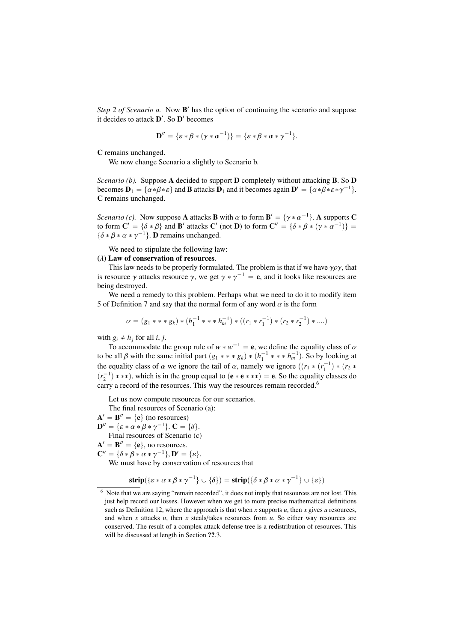Step 2 of Scenario a. Now **B**' has the option of continuing the scenario and suppose it decides to attack  $\mathbf{D}'$ . So  $\mathbf{D}'$  becomes

$$
\mathbf{D}'' = \{\varepsilon * \beta * (\gamma * \alpha^{-1})\} = \{\varepsilon * \beta * \alpha * \gamma^{-1}\}.
$$

C remains unchanged.

We now change Scenario a slightly to Scenario b.

*Scenario (b).* Suppose A decided to support **D** completely without attacking **B**. So **D** becomes  $\mathbf{D}_1 = {\alpha * \beta * \varepsilon}$  and **B** attacks  $\mathbf{D}_1$  and it becomes again  $\mathbf{D}' = {\alpha * \beta * \varepsilon * \gamma^{-1}}$ . C remains unchanged.

*Scenario (c).* Now suppose **A** attacks **B** with  $\alpha$  to form  $\mathbf{B}' = {\gamma * \alpha^{-1}}$ . **A** supports **C** to form  $\mathbf{C}' = {\delta * \beta}$  and  $\mathbf{B}'$  attacks  $\mathbf{C}'$  (not **D**) to form  $\mathbf{C}'' = {\delta * \beta * (\gamma * \alpha^{-1})}$ to form  $\mathbf{C}' = {\delta * \beta}$  and  $\mathbf{B}'$  attacks  $\mathbf{C}'$  (not  $\mathbf{D}$ ) to form  $\mathbf{C}'' = {\delta * \beta * (\gamma * \alpha^{-1})} = \delta * \beta * \alpha * \gamma^{-1}$ ).  $\{\delta * \beta * \alpha * \gamma^{-1}\}.$  **D** remains unchanged.

We need to stipulate the following law:

#### $(\lambda)$  Law of conservation of resources.

This law needs to be properly formulated. The problem is that if we have  $\gamma \rho \gamma$ , that is resource  $\gamma$  attacks resource  $\gamma$ , we get  $\gamma * \gamma^{-1} = \mathbf{e}$ , and it looks like resources are being destroyed being destroyed.

We need a remedy to this problem. Perhaps what we need to do it to modify item 5 of Definition 7 and say that the normal form of any word  $\alpha$  is the form

$$
\alpha = (g_1 \ast \ast \ast g_k) \ast (h_1^{-1} \ast \ast \ast h_m^{-1}) \ast ((r_1 \ast r_1^{-1}) \ast (r_2 \ast r_2^{-1}) \ast ....)
$$

with  $g_i \neq h_j$  for all *i*, *j*.

To accommodate the group rule of  $w * w^{-1} = e$ , we define the equality class of  $\alpha$ <br>is all  $\beta$  with the same initial part  $(a_1 * * * a_1) * (b^{-1} * * * b^{-1})$ . So by looking at to be all β with the same initial part  $(g_1 * * * g_k) * (h_1^{-1} * * h_m^{-1})$ . So by looking at the equality along of  $g$  we ignore the tail of  $g$  normaly we ignore  $((g_1 * (n-1)) * (g_1 * g_2))$ the equality class of  $\alpha$  we ignore the tail of  $\alpha$ , namely we ignore  $((r_1 * (r_1^{-1}) * (r_2 * (r_1^{-1}) * r_2)^*)$  $(r_2^{-1})$  \* \*\*), which is in the group equal to  $(e * e * **)$  = e. So the equality classes do carry a record of the resources. This way the resources remain recorded.<sup>6</sup>

Let us now compute resources for our scenarios.

The final resources of Scenario (a):

 $\mathbf{A}' = \mathbf{B}'' = \{\mathbf{e}\}$  (no resources)  $\mathbf{D}'' = {\varepsilon * \alpha * \beta * \gamma^{-1}}.$   $\mathbf{C} = {\delta}.$ <br>Final resources of Scenario (c Final resources of Scenario (c)  $\mathbf{A}' = \mathbf{B}'' = \{\mathbf{e}\},$  no resources.  $\mathbf{C}'' = \{\delta * \beta * \alpha * \gamma^{-1}\}, \mathbf{D}' = \{\varepsilon\}.$ <br>We must have by conservation We must have by conservation of resources that

 $\textbf{strip}(\{\varepsilon * \alpha * \beta * \gamma^{-1}\} \cup \{\delta\}) = \textbf{strip}(\{\delta * \beta * \alpha * \gamma^{-1}\} \cup \{\varepsilon\})$ 

<sup>6</sup> Note that we are saying "remain recorded", it does not imply that resources are not lost. This just help record our losses. However when we get to more precise mathematical definitions such as Definition 12, where the approach is that when  $x$  supports  $u$ , then  $x$  gives  $u$  resources, and when  $x$  attacks  $u$ , then  $x$  steals/takes resources from  $u$ . So either way resources are conserved. The result of a complex attack defense tree is a redistribution of resources. This will be discussed at length in Section  $??'.3.$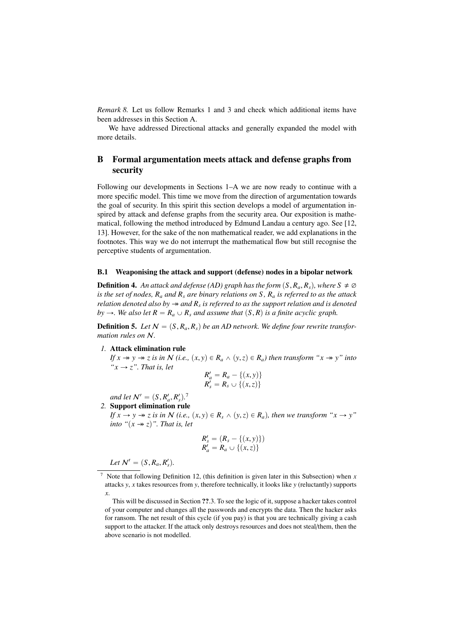*Remark 8.* Let us follow Remarks 1 and 3 and check which additional items have been addresses in this Section A.

We have addressed Directional attacks and generally expanded the model with more details.

## B Formal argumentation meets attack and defense graphs from security

Following our developments in Sections 1–A we are now ready to continue with a more specific model. This time we move from the direction of argumentation towards the goal of security. In this spirit this section develops a model of argumentation inspired by attack and defense graphs from the security area. Our exposition is mathematical, following the method introduced by Edmund Landau a century ago. See [12, 13]. However, for the sake of the non mathematical reader, we add explanations in the footnotes. This way we do not interrupt the mathematical flow but still recognise the perceptive students of argumentation.

## B.1 Weaponising the attack and support (defense) nodes in a bipolar network

**Definition 4.** An attack and defense (AD) graph has the form  $(S, R_a, R_s)$ , where  $S \neq \emptyset$ *is the set of nodes, R<sup>a</sup> and R<sup>s</sup> are binary relations on S , R<sup>a</sup> is referred to as the attack relation denoted also by and R<sup>s</sup> is referred to as the support relation and is denoted by*  $\rightarrow$ *. We also let*  $R = R_a \cup R_s$  *and assume that*  $(S, R)$  *is a finite acyclic graph.* 

**Definition 5.** Let  $N = (S, R_a, R_s)$  be an AD network. We define four rewrite transfor*mation rules on* N*.*

#### *1.* Attack elimination rule

*If*  $x \rightarrow y \rightarrow z$  *is in*  $N$  *(i.e.,*  $(x, y) \in R_a \land (y, z) \in R_a$ *) then transform* " $x \rightarrow y$ " *into*  $x \rightarrow z$ ". That is, let

$$
R'_a = R_a - \{(x, y)\}\
$$
  

$$
R'_s = R_s \cup \{(x, z)\}\
$$

*and let*  $\mathcal{N}' = (S, R'_a, R'_s).$ <sup>7</sup><br>**Support elimination rule** 

*2.* Support elimination rule

*If*  $x \to y \to z$  *is in*  $N$  *(i.e.,*  $(x, y) \in R$ <sup>*s*</sup>  $\wedge$   $(y, z) \in R$ <sup>*a*</sup>)*, then we transform* " $x \to y$ " *into* " $(x \rightarrow z)$ ". That is, let

$$
R'_{s} = (R_{s} - \{(x, y)\})
$$
  

$$
R'_{a} = R_{a} \cup \{(x, z)\}
$$

*Let*  $N' = (S, R_a, R'_s).$ 

<sup>&</sup>lt;sup>7</sup> Note that following Definition 12, (this definition is given later in this Subsection) when  $x$ attacks *y*, *x* takes resources from *y*, therefore technically, it looks like *y* (reluctantly) supports *x*.

This will be discussed in Section ??.3. To see the logic of it, suppose a hacker takes control of your computer and changes all the passwords and encrypts the data. Then the hacker asks for ransom. The net result of this cycle (if you pay) is that you are technically giving a cash support to the attacker. If the attack only destroys resources and does not steal/them, then the above scenario is not modelled.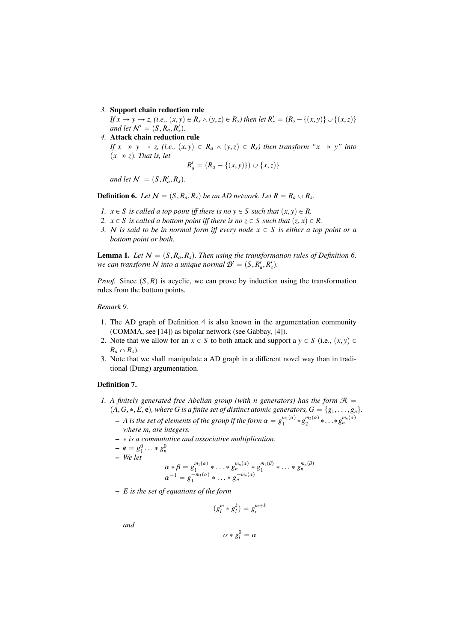*3.* Support chain reduction rule

*If*  $x \rightarrow y \rightarrow z$ , (i.e.,  $(x, y) \in R_s \land (y, z) \in R_s$ ) then let  $R'_s = (R_s - \{(x, y)\} \cup \{(x, z)\}$ <br>and let  $\mathbb{N}' = (S \cap R \cap R')$ *and let*  $\mathcal{N}' = (S, R_a, R'_s)$ .<br>Attack chain reduction

*4.* Attack chain reduction rule

*If*  $x \rightarrow y \rightarrow z$ , (i.e.,  $(x, y) \in R_a \land (y, z) \in R_s$ ) then transform " $x \rightarrow y$ " into  $(x \rightarrow z)$ . *That is, let* 

$$
R'_a = (R_a - \{(x, y)\}) \cup \{x, z)\}
$$

*and let*  $\mathcal{N} = (S, R'_a, R_s)$ .

**Definition 6.** Let  $N = (S, R_a, R_s)$  be an AD network. Let  $R = R_a \cup R_s$ .

- *1.*  $x \in S$  *is called a top point iff there is no*  $y \in S$  *such that*  $(x, y) \in R$ .
- *2.*  $x \in S$  *is called a bottom point iff there is no*  $z \in S$  *such that*  $(z, x) \in R$ .
- *3. N* is said to be in normal form iff every node  $x \in S$  is either a top point or a *bottom point or both.*

**Lemma 1.** Let  $N = (S, R_a, R_s)$ . Then using the transformation rules of Definition 6, we can transform N into a unique normal  $\mathcal{B}' = (S, R'_a, R'_s)$ .

*Proof.* Since  $(S, R)$  is acyclic, we can prove by induction using the transformation rules from the bottom points.

## *Remark 9.*

- 1. The AD graph of Definition 4 is also known in the argumentation community (COMMA, see [14]) as bipolar network (see Gabbay, [4]).
- 2. Note that we allow for an  $x \in S$  to both attack and support a  $y \in S$  (i.e.,  $(x, y) \in S$  $R_a \cap R_s$ ).
- 3. Note that we shall manipulate a AD graph in a different novel way than in traditional (Dung) argumentation.

#### Definition 7.

- *1.* A finitely generated free Abelian group (with n generators) has the form  $\mathcal{A}$  =  $(A, G, *, E, \mathbf{e})$ , where G is a finite set of distinct atomic generators,  $G = \{g_1, \ldots, g_n\}$ .
	- $A$  is the set of elements of the group if the form  $\alpha = g_1^{m_1(\alpha)} * g_2^{m_2(\alpha)} * \ldots * g_n^{m_n(\alpha)}$ <br>where m, are integers *where m<sup>i</sup> are integers.*
	- ˚ *is a commutative and associative multiplication.*
	- $-$ **e** =  $g_1^0 \dots * g_n^0$ <br>- We let
	- *We let*

$$
\alpha * \beta = g_1^{m_1(\alpha)} * \dots * g_n^{m_n(\alpha)} * g_1^{m_1(\beta)} * \dots * g_n^{m_n(\beta)}
$$
  

$$
\alpha^{-1} = g_1^{-m_1(\alpha)} * \dots * g_n^{-m_n(\alpha)}
$$

– *E is the set of equations of the form*

$$
(g_i^m * g_i^k) = g_i^{m+k}
$$

*and*

$$
\alpha * g_i^0 = \alpha
$$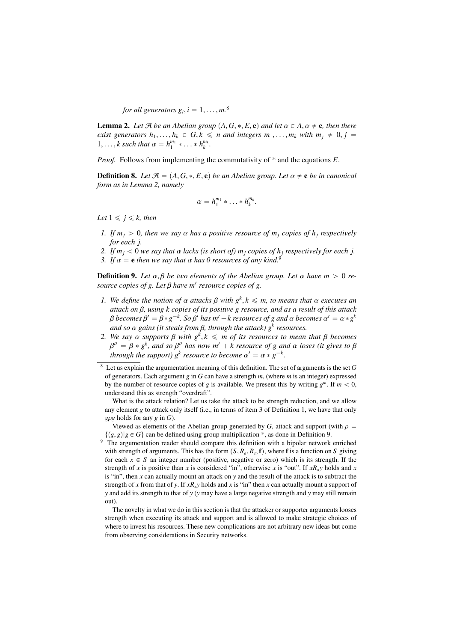*for all generators*  $g_i$ ,  $i = 1, ..., m$ .<sup>8</sup>

**Lemma 2.** Let  $\mathcal{A}$  be an Abelian group  $(A, G, *, E, e)$  and let  $\alpha \in A$ ,  $\alpha \neq e$ , then there *exist generators*  $h_1, \ldots, h_k \in G, k \leq n$  *and integers*  $m_1, \ldots, m_k$  *with*  $m_i \neq 0, i =$  $1, \ldots, k$  such that  $\alpha = h_1^{m_1} * \ldots * h_k^{m_k}$ .

*Proof.* Follows from implementing the commutativity of \* and the equations *E*.

**Definition 8.** *Let*  $\mathcal{A} = (A, G, *, E, e)$  *be an Abelian group. Let*  $\alpha \neq e$  *be in canonical form as in Lemma 2, namely*

$$
\alpha=h_1^{m_1}\ast\ldots\ast h_k^{m_k}.
$$

*Let*  $1 \leq i \leq k$ , then

- *1. If*  $m_i > 0$ , then we say  $\alpha$  has a positive resource of  $m_i$  copies of  $h_i$  respectively *for each j.*
- *2. If*  $m_j < 0$  *we say that*  $\alpha$  *lacks* (*is short of*)  $m_j$  *copies of*  $h_j$  *respectively for each j.*
- *3. If*  $\alpha = e$  *then we say that*  $\alpha$  *has* 0 *resources of any kind.*<sup>9</sup>

**Definition 9.** Let  $\alpha, \beta$  be two elements of the Abelian group. Let  $\alpha$  have  $m > 0$  re*source copies of g. Let* β *have m*<sup>1</sup> *resource copies of g.*

- *1.* We define the notion of  $\alpha$  attacks  $\beta$  with  $g^k$ ,  $k \leq m$ , to means that  $\alpha$  executes an attack on  $\beta$ , using k conjes of its nositive a resource and as a result of this attack *attack on* β*, using k copies of its positive g resource, and as a result of this attack* β becomes  $β' = β * g^{-k}$ . So β' has  $m' - k$  resources of g and  $α$  becomes  $α' = α * g^k$ <br>and so  $α$  agins (it stagls from  $β$ , through the attack)  $α^k$  resources *and so*  $\alpha$  *gains (it steals from β, through the attack)*  $g^k$  *resources.*<br>We say  $\alpha$  supports  $\beta$  with  $g^k$  k  $\leq$  m of its resources to mean
- *2. We say*  $\alpha$  *supports*  $\beta$  *with*  $g^k$ ,  $k \leq m$  *of its resources to mean that*  $\beta$  *becomes*  $g'' = \beta * g^k$  *and*  $\alpha \beta''$  *has now m'*  $+ k$  *resource* of  $g$  *and*  $\alpha$  *loses* (*it gives to*  $\beta$ *through the support)*  $g^k$  *resource to become*  $\alpha' = \alpha * g^{-k}$ .  $C'' = \beta * g^k$ , and so β'' has now m' + k resource of g and  $\alpha$  loses (it gives to β<br>brough the sunnort) o<sup>k</sup> resource to become  $\alpha' = \alpha * \alpha^{-k}$

What is the attack relation? Let us take the attack to be strength reduction, and we allow any element *g* to attack only itself (i.e., in terms of item 3 of Definition 1, we have that only *<sup>g</sup>*ρ*<sup>g</sup>* holds for any *<sup>g</sup>* in *<sup>G</sup>*).

with strength of arguments. This has the form  $(S, R_a, R_s, \mathbf{f})$ , where **f** is a function on *S* giving for each  $x \in S$ , an integer number (positive, peoplive or zero) which is its strength. If the for each  $x \in S$  an integer number (positive, negative or zero) which is its strength. If the strength of *x* is positive than *x* is considered "in", otherwise *x* is "out". If *xRay* holds and *x* is "in", then *x* can actually mount an attack on *y* and the result of the attack is to subtract the strength of *x* from that of *y*. If  $xR_y$ *y* holds and *x* is "in" then *x* can actually mount a support of *y* and add its strength to that of *y* (*y* may have a large negative strength and *y* may still remain out).

The novelty in what we do in this section is that the attacker or supporter arguments looses strength when executing its attack and support and is allowed to make strategic choices of where to invest his resources. These new complications are not arbitrary new ideas but come from observing considerations in Security networks.

<sup>8</sup> Let us explain the argumentation meaning of this definition. The set of arguments is the set *G* of generators. Each argument *g* in *G* can have a strength *m*, (where *m* is an integer) expressed by the number of resource copies of *g* is available. We present this by writing  $g^m$ . If  $m < 0$ , understand this as strength "overdraft".

Viewed as elements of the Abelian group generated by *G*, attack and support (with  $\rho = \{(g, g) | g \in G\}$  can be defined using group multiplication \*, as done in Definition 9.  $\{(g, g)|g \in G\}$  can be defined using group multiplication \*, as done in Definition 9.<br><sup>9</sup> The argumentation reader should compare this definition with a bipolar network enriched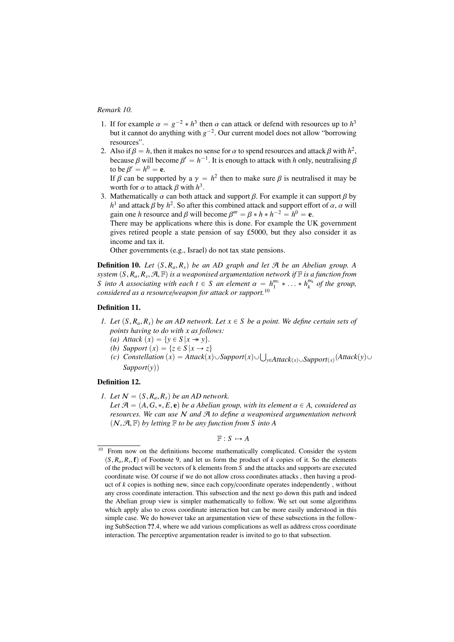#### *Remark 10.*

- 1. If for example  $\alpha = g^{-2} * h^3$  then  $\alpha$  can attack or defend with resources up to  $h^3$  but it cannot do anything with *g*<sup>-2</sup>. Our current model does not allow "borrowing  $\lambda^{-2}$   $\ast$  *h*<sup>3</sup> then  $\alpha$  can attack or defend with resources up to  $h^3$ resources".
- 2. Also if  $\beta = h$ , then it makes no sense for  $\alpha$  to spend resources and attack  $\beta$  with  $h^2$ , because  $\beta$  will become  $\beta' = h^{-1}$ . It is enough to attack with h only neutralising  $\beta$ because  $\beta$  will become  $\beta' = h^{-1}$ . It is enough to attack with *h* only, neutralising  $\beta$  to be  $\beta' = h^0 - e$ to be  $\beta$ <br>If  $\beta$  ca  $' = h^0 = e.$

If β can be supported by a  $\gamma = h^2$  then to make sure β is neutralised it may be worth for  $\alpha$  to attack β with  $h^3$ worth for  $\alpha$  to attack  $\beta$  with  $h^3$ .<br>Mathematically  $\alpha$  can both atta

3. Mathematically  $\alpha$  can both attack and support  $\beta$ . For example it can support  $\beta$  by *h*<sup>1</sup> and attack *β* by *h*<sup>2</sup>. So after this combined attack and support effort of  $\alpha$ ,  $\alpha$  will asin one *h* resource and *β* will become  $\beta''' - \beta * h * h^{-2} - h^0 = \alpha$ gain one *h* resource and *β* will become  $\beta''' = \beta * h * h^{-2} = h^0 = e$ .<br>There may be applications where this is done. For example the U

There may be applications where this is done. For example the UK government gives retired people a state pension of say £5000, but they also consider it as income and tax it.

Other governments (e.g., Israel) do not tax state pensions.

**Definition 10.** Let  $(S, R_a, R_s)$  be an AD graph and let  $\mathcal{A}$  be an Abelian group. A *system*  $(S, R_a, R_s, \mathcal{A}, \mathbb{F})$  *is a weaponised argumentation network if*  $\mathbb{F}$  *is a function from*<br>*S into* A *associating with each t*  $\in$  *S an element*  $\alpha = h^{m_1} * h^{m_k}$  *of the group S* into A associating with each  $t \in S$  an element  $\alpha = h_1^{m_1} * \ldots * h_k^{m_k}$  of the group, considered as a resourcely equation for attack or support  $10^{-10}$ . *considered as a resource*/*weapon for attack or support.*<sup>10</sup>

#### Definition 11.

- *1. Let*  $(S, R_a, R_s)$  *be an AD network. Let*  $x \in S$  *be a point. We define certain sets of points having to do with x as follows:*
	- *(a) Attack*  $(x) = \{y \in S | x \rightarrow y\}.$
	- *(b) Support*  $(x) = \{z \in S | x \rightarrow z\}$
	- *(c) Constellation*  $(x) = \{z \in S | x \rightarrow z\}$ <br> *(c) Constellation*  $(x) = \text{Attack}(x) \cup \text{Support}(x) \cup \bigcup_{y \in \text{Attack}(x) \cup \text{Support}(x)} (\text{Attack}(y) \cup \text{Support}(x))$  $Support(v)$

## Definition 12.

*1.* Let  $N = (S, R_a, R_s)$  be an AD network.

*Let*  $\mathcal{A} = (A, G, *, E, e)$  *be a Abelian group, with its element*  $\alpha \in A$ *, considered as resources. We can use* N *and* A *to define a weaponised argumentation network*  $(N, \mathcal{A}, \mathbb{F})$  by letting  $\mathbb F$  to be any function from S into A

 $F : S \mapsto A$ 

<sup>&</sup>lt;sup>10</sup> From now on the definitions become mathematically complicated. Consider the system  $(S, R_a, R_s, \mathbf{f})$  of Footnote 9, and let us form the product of *k* copies of it. So the elements of the product will be vectors of *k* elements from *S* and the attacks and supports are executed of the product will be vectors of k elements from *S* and the attacks and supports are executed coordinate wise. Of course if we do not allow cross coordinates attacks , then having a product of *k* copies is nothing new, since each copy/coordinate operates independently , without any cross coordinate interaction. This subsection and the next go down this path and indeed the Abelian group view is simpler mathematically to follow. We set out some algorithms which apply also to cross coordinate interaction but can be more easily understood in this simple case. We do however take an argumentation view of these subsections in the following SubSection ??.4, where we add various complications as well as address cross coordinate interaction. The perceptive argumentation reader is invited to go to that subsection.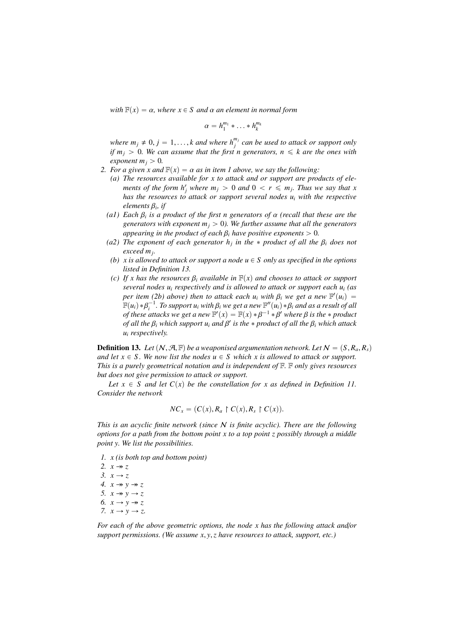*with*  $F(x) = \alpha$ *, where*  $x \in S$  *and*  $\alpha$  *an element in normal form* 

$$
\alpha=h_1^{m_1}\ast\ldots\ast h_k^{m_k}
$$

*where*  $m_j \neq 0$ ,  $j = 1, \ldots, k$  and where  $h_j^{m_j}$  can be used to attack or support only if  $m_i > 0$ . We can assume that the first n generators  $n \leq k$  are the ones with *if*  $m_j > 0$ . We can assume that the first n generators,  $n \leq k$  are the ones with *exponent*  $m_j > 0$ *.* 

- *2. For a given x and*  $F(x) = \alpha$  *as in item 1 above, we say the following:* 
	- *(a) The resources available for x to attack and or support are products of elements of the form*  $h_j^r$  *where*  $m_j > 0$  *and*  $0 < r \leq m_j$ *. Thus we say that x has the resources to attack or support several nodes u<sup>i</sup> with the respective elements* <sup>β</sup>*<sup>i</sup> , if*
	- *(a1) Each*  $\beta_i$  *is a product of the first n generators of*  $\alpha$  *(recall that these are the generators with exponent m*  $\geq 0$ ) *We further assume that all the generators generators with exponent*  $m_i > 0$ *). We further assume that all the generators appearing in the product of each*  $\beta$ *<sub><i>i*</sub> have positive exponents  $> 0$ .
	- *(a2) The exponent of each generator*  $h_j$  *in the*  $*$  *product of all the*  $\beta_i$  *does not exceed m*. *exceed m<sup>j</sup> .*
	- *(b) x is allowed to attack or support a node*  $u \in S$  *only as specified in the options listed in Definition 13.*
	- *(c) If x has the resources*  $\beta_i$  *available in*  $\mathbb{F}(x)$  *and chooses to attack or support several nodes u<sup>i</sup> respectively and is allowed to attack or support each u<sup>i</sup> (as per item (2b) above) then to attack each*  $u_i$  *with*  $\beta_i$  *we get a new*  $\mathbb{F}'(u_i) = \mathbb{F}(u_i) * \mathbb{R}^{-1}$  To support *ui* with  $\mathbb{R}$  *we get a new*  $\mathbb{F}''(u_i) * \mathbb{R}$  *and as a result of all*  $\mathbb{F}(u_i) * \beta_i^{-1}$ . To support  $u_i$  with  $\beta_i$  we get a new  $\mathbb{F}'(u_i) * \beta_i$  and as a result of all<br>of these attacks we get a new  $\mathbb{F}'(x) = \mathbb{F}(x) * \beta^{-1} * \beta'$  where  $\beta$  is the  $*$  product *of these attacks we get a new*  $\mathbb{F}'(x) = \mathbb{F}(x) * \beta^{-1} * \beta'$  where  $\beta$  *is the*  $*$  *product* of all the  $\beta$ , which attacks we get a new  $\mathbb{F}'$  is the  $*$  *product* of all the  $\beta$ , which attacks *of all the*  $β<sub>i</sub>$  *which support u<sub>i</sub> and*  $β'$  *is the*  $*$  *product of all the*  $β<sub>i</sub>$  *which attack u*. *respectively u<sup>i</sup> respectively.*

**Definition 13.** Let  $(N, \mathcal{A}, \mathbb{F})$  be a weaponised argumentation network. Let  $N = (S, R_a, R_s)$ *and let*  $x \in S$ *. We now list the nodes*  $u \in S$  *which x is allowed to attack or support. This is a purely geometrical notation and is independent of* F*.* F *only gives resources but does not give permission to attack or support.*

Let  $x \in S$  *and let*  $C(x)$  *be the constellation for x as defined in Definition 11. Consider the network*

$$
NC_x = (C(x), R_a \restriction C(x), R_s \restriction C(x)).
$$

*This is an acyclic finite network (since* N *is finite acyclic). There are the following options for a path from the bottom point x to a top point z possibly through a middle point y. We list the possibilities.*

- *1. x (is both top and bottom point)*
- 2.  $x \rightarrow z$ *3.*  $x \rightarrow z$ *4.*  $x \rightarrow y \rightarrow z$ *5.*  $x \rightarrow y \rightarrow z$ 6.  $x \rightarrow y \rightarrow z$ *7.*  $x \rightarrow y \rightarrow z$ .

*For each of the above geometric options, the node x has the following attack and*/*or support permissions. (We assume x*, *<sup>y</sup>*,*z have resources to attack, support, etc.)*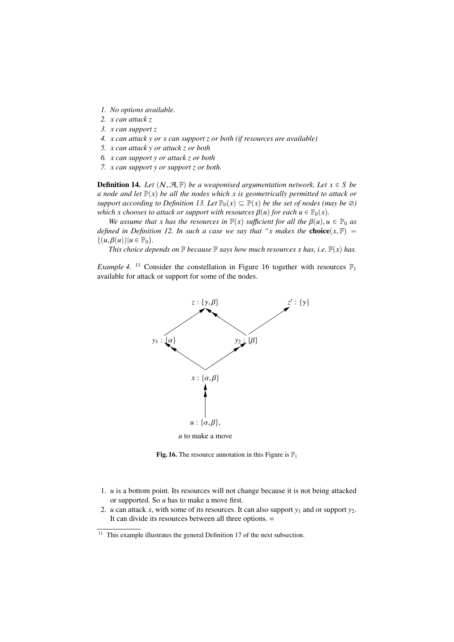- *1. No options available.*
- *2. x can attack z*
- *3. x can support z*
- *4. x can attack y or x can support z or both (if resources are available)*
- *5. x can attack y or attack z or both*
- *6. x can support y or attack z or both*
- *7. x can support y or support z or both.*

**Definition 14.** Let  $(N, \mathcal{A}, \mathbb{F})$  be a weaponised argumentation network. Let  $x \in S$  be *a node and let*  $\mathbb{P}(x)$  *be all the nodes which x is geometrically permitted to attack or support according to Definition 13. Let*  $\mathbb{P}_0(x) \subseteq \mathbb{P}(x)$  *be the set of nodes (may be*  $\emptyset$ ) *which x chooses to attack or support with resources*  $\beta(u)$  *for each*  $u \in \mathbb{P}_0(x)$ *.* 

*We assume that x has the resources in*  $\mathbb{F}(x)$  *sufficient for all the*  $\beta(u)$ *,*  $u \in \mathbb{P}_0$  *as defined in Definition 12. In such a case we say that "x makes the choice* $(x, \mathbb{F}) =$  $\{(u, \beta(u)) | u \in \mathbb{P}_0\}.$ 

*This choice depends on*  $\mathbb F$  *because*  $\mathbb F$  *says how much resources x has, i.e.*  $\mathbb F(x)$  *has.* 

*Example 4.* <sup>11</sup> Consider the constellation in Figure 16 together with resources  $\mathbb{F}_1$ available for attack or support for some of the nodes.



Fig. 16. The resource annotation in this Figure is  $\mathbb{F}_1$ 

- 1. *u* is a bottom point. Its resources will not change because it is not being attacked or supported. So *u* has to make a move first.
- 2. *u* can attack *x*, with some of its resources. It can also support  $y_1$  and or support  $y_2$ . It can divide its resources between all three options. =

<sup>&</sup>lt;sup>11</sup> This example illustrates the general Definition 17 of the next subsection.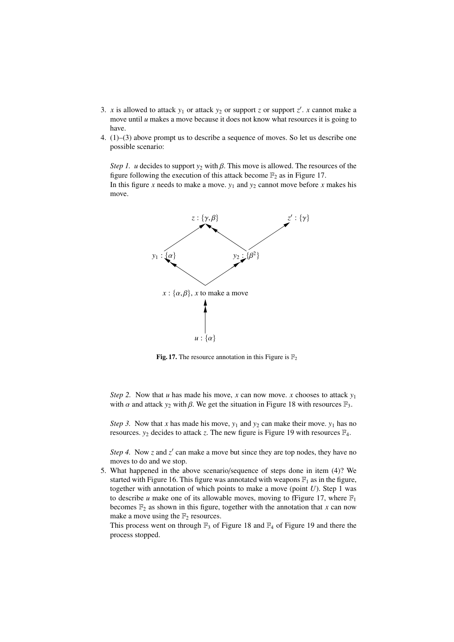- 3. *x* is allowed to attack  $y_1$  or attack  $y_2$  or support *z* or support *z'*. *x* cannot make a move until *u* makes a move because it does not know what resources it is going to have.
- 4. (1)–(3) above prompt us to describe a sequence of moves. So let us describe one possible scenario:

*Step 1. u* decides to support  $y_2$  with  $\beta$ . This move is allowed. The resources of the figure following the execution of this attack become  $\mathbb{F}_2$  as in Figure 17. In this figure *x* needs to make a move.  $y_1$  and  $y_2$  cannot move before *x* makes his move.



Fig. 17. The resource annotation in this Figure is  $\mathbb{F}_2$ 

*Step 2.* Now that *u* has made his move, *x* can now move. *x* chooses to attack  $y_1$ with  $\alpha$  and attack  $y_2$  with  $\beta$ . We get the situation in Figure 18 with resources  $\mathbb{F}_3$ .

*Step 3.* Now that *x* has made his move,  $y_1$  and  $y_2$  can make their move.  $y_1$  has no resources.  $y_2$  decides to attack *z*. The new figure is Figure 19 with resources  $\mathbb{F}_4$ .

*Step 4.* Now  $z$  and  $z'$  can make a move but since they are top nodes, they have no moves to do and we stop.

5. What happened in the above scenario/sequence of steps done in item (4)? We started with Figure 16. This figure was annotated with weapons  $\mathbb{F}_1$  as in the figure, together with annotation of which points to make a move (point  $U$ ). Step 1 was to describe *u* make one of its allowable moves, moving to fFigure 17, where  $\mathbb{F}_1$ becomes  $\mathbb{F}_2$  as shown in this figure, together with the annotation that *x* can now make a move using the  $\mathbb{F}_2$  resources.

This process went on through  $\mathbb{F}_3$  of Figure 18 and  $\mathbb{F}_4$  of Figure 19 and there the process stopped.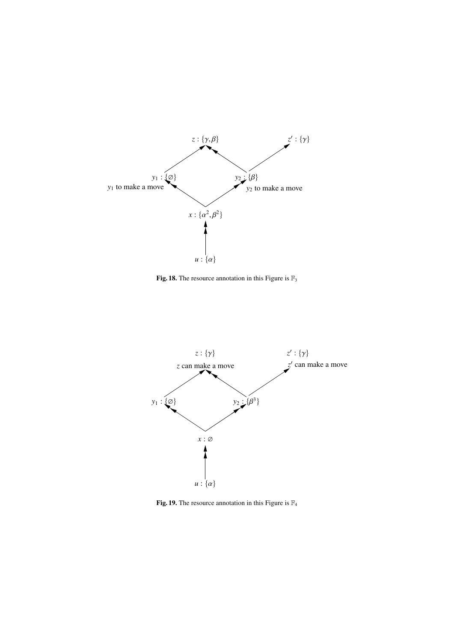

Fig. 18. The resource annotation in this Figure is  $\mathbb{F}_3$ 



Fig. 19. The resource annotation in this Figure is  $\mathbb{F}_4$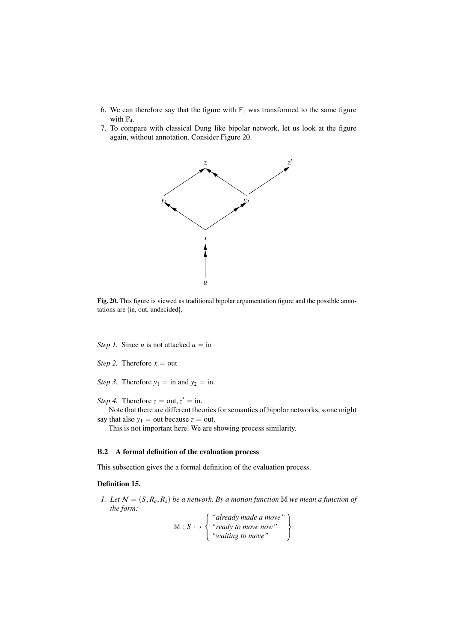- 6. We can therefore say that the figure with  $\mathbb{F}_1$  was transformed to the same figure with  $\mathbb{F}_4$ .
- 7. To compare with classical Dung like bipolar network, let us look at the figure again, without annotation. Consider Figure 20.



Fig. 20. This figure is viewed as traditional bipolar argumentation figure and the possible annotations are {in, out, undecided}.

*Step 1.* Since *u* is not attacked  $u =$  in

- *Step 2.* Therefore  $x = out$
- *Step 3.* Therefore  $y_1 = \text{in and } y_2 = \text{in.}$
- *Step 4.* Therefore  $z = out, z' = in$ .<br>Note that there are different the

Note that there are different theories for semantics of bipolar networks, some might say that also  $y_1$  = out because  $z$  = out.

This is not important here. We are showing process similarity.

## B.2 A formal definition of the evaluation process

This subsection gives the a formal definition of the evaluation process.

#### Definition 15.

*1. Let*  $N = (S, R_a, R_s)$  *be a network. By a motion function* M *we mean a function of the form:*

> $M : S \mapsto$  $\sqrt{ }$  $\lambda$ *"already made a move" "ready to move now" "waiting to move"* .  $\bigcap$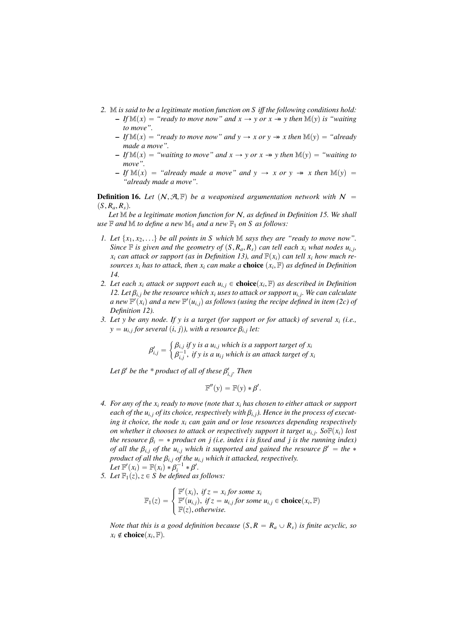- *2.* M *is said to be a legitimate motion function on S i*ff *the following conditions hold:*  $-If M(x) = "ready to move now" and x \rightarrow y or x \rightarrow y then M(y) is "waiting"$ *to move".*
	- $-If \mathbb{M}(x) = "ready to move now" and y \rightarrow x or y \rightarrow x then \mathbb{M}(y) = "already$ *made a move".*
	- $-If M(x) = "waiting to move" and x \rightarrow y or x \rightarrow y then M(y) = "waiting to$ *move".*
	- $-If M(x) = "already made a move" and y \rightarrow x or y \rightarrow x then M(y) =$ *"already made a move".*

**Definition 16.** Let  $(N, \mathcal{A}, \mathbb{F})$  be a weaponised argumentation network with  $N =$  $(S, R_a, R_s)$ .

*Let* M *be a legitimate motion function for* N*, as defined in Definition 15. We shall use*  $\mathbb F$  *and*  $\mathbb M$  *to define a new*  $\mathbb M_1$  *and a new*  $\mathbb F_1$  *on*  $S$  *as follows:* 

- *1. Let*  $\{x_1, x_2, \ldots\}$  *be all points in S which* M *says they are "ready to move now". Since*  $\mathbb{F}$  *is given and the geometry of*  $(S, R_a, R_s)$  *can tell each x<sub>i</sub> what nodes u<sub><i>i*</sub>, *y*, *can attack or support (as in Definition 13) and*  $\mathbb{F}(x)$  *can tell x, how much re* $x_i$  *can attack or support (as in Definition 13), and*  $\mathbb{F}(x_i)$  *can tell x<sub>i</sub> how much resources*  $x_i$  *has to attack, then*  $x_i$  *can make a* **choice**  $(x_i, \mathbb{F})$  *as defined in Definition* 14 *14.*
- *2. Let each*  $x_i$  *attack or support each*  $u_{i,j} \in \text{choice}(x_i, \mathbb{F})$  *as described in Definition* 12. Let  $\mathbb{R} \cdot$  be the resource which x, uses to attack or support  $u_i$ . We can calculate *12. Let*  $\beta_{i,j}$  *be the resource which x<sub>i</sub> uses to attack or support u<sub>i, <i>j*</sub>. We can calculate</sub> *a new*  $\mathbb{F}'(x)$  *ond a new*  $\mathbb{F}'(u)$  *o as follows (using the recipe defined in item (2c) of a* new  $\mathbb{F}'(x_i)$  and a new  $\mathbb{F}'(u_{i,j})$  as follows (using the recipe defined in item (2c) of  $D_n$  *p*<sub>1</sub> *as p*<sub>1</sub> *a*<sup>*n*</sup> *a*<sup>*n*</sup> *a*<sup>*n*</sup> *a*<sup>*n*</sup> *a*<sup>*n*</sup> *a*<sup>*n*</sup> *a*<sup>*n*</sup> *a*<sup>*n*</sup> *a*<sup>*n*</sup> *a*<sup>*n*</sup> *a*<sup>*n*</sup> *Definition 12).*
- *3. Let y be any node. If y is a target (for support or for attack) of several x<sup>i</sup> (i.e.,*  $y = u_{i,j}$  for several  $(i, j)$ ), with a resource  $\beta_{i,j}$  let:

$$
\beta'_{i,j} = \begin{cases} \beta_{i,j} & \text{if } y \text{ is a } u_{i,j} \text{ which is a support target of } x_i \\ \beta_{i,j}^{-1}, & \text{if } y \text{ is a } u_{ij} \text{ which is an attack target of } x_i \end{cases}
$$

Let  $\beta'$  be the \* product of all of these  $\beta'_{i,j}$ . Then

$$
\mathbb{F}''(y) = \mathbb{F}(y) * \beta'.
$$

- *4. For any of the x<sup>i</sup> ready to move (note that x<sup>i</sup> has chosen to either attack or support each of the*  $u_{i,j}$  *of its choice, respectively with*  $\beta_{i,j}$ *). Hence in the process of executing it choice, the node x<sup>i</sup> can gain and or lose resources depending respectively on whether it chooses to attack or respectively support it target*  $u_{i,j}$ *. So*  $F(x_i)$  *lost the measures*  $\theta$  *is a measure of the measure in deviation in the measure of the measure of the measure of the measure in deviatio the resource*  $\beta_i = *$  *product on j (i.e. index i is fixed and j is the running index) of all the*  $\beta_{i,j}$  *of the*  $u_{i,j}$  *which it supported and gained the resource*  $\beta' =$  *the*  $*$ <br>*product of all the*  $\beta_{i,j}$  *of the u<sub>p</sub> y* which it attacked respectively. *product of all the*  $\beta_{i,j}$  *of the*  $u_{i,j}$  *which it attacked, respectively.* Let  $\mathbb{F}'(x_i) = \mathbb{F}(x_i) * \beta_i^{-1} * \beta'.$ <br>Let  $\mathbb{F}_i(x) \; z \in S$  be defined as
- *5. Let*  $\mathbb{F}_1(z)$ *,* $z \in S$  *be defined as follows:*

$$
\mathbb{F}_1(z) = \begin{cases} \mathbb{F}'(x_i), \text{ if } z = x_i \text{ for some } x_i \\ \mathbb{F}'(u_{i,j}), \text{ if } z = u_{i,j} \text{ for some } u_{i,j} \in \text{choice}(x_i, \mathbb{F}) \\ \mathbb{F}(z), \text{ otherwise.} \end{cases}
$$

*Note that this is a good definition because*  $(S, R = R_a \cup R_s)$  *is finite acyclic, so*  $x_i \notin \text{choice}(x_i, \mathbb{F})$ .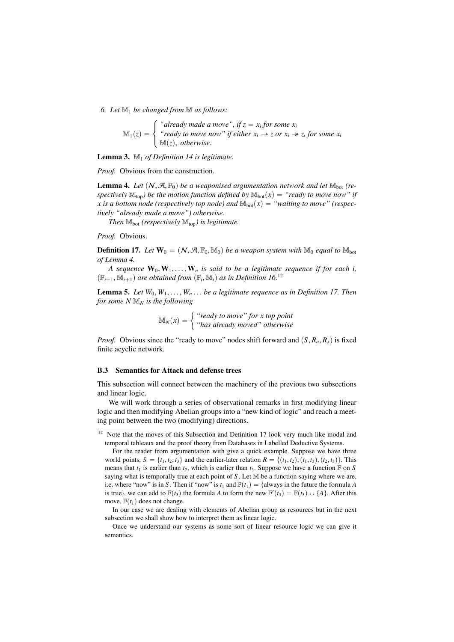*6. Let* M<sup>1</sup> *be changed from* M *as follows:* \$

 $\mathbb{M}_1(z) =$  $\sqrt{ }$  $\lambda$ "*already made a move*", *if*  $z = x_i$  *for some*  $x_i$ *"ready to move now" if either*  $x_i \rightarrow z$  *or*  $x_i \rightarrow z$ *, for some*  $x_i$  $M(z)$ , *otherwise*.

Lemma 3. M<sup>1</sup> *of Definition 14 is legitimate.*

*Proof.* Obvious from the construction.

**Lemma 4.** Let  $(N, \mathcal{A}, \mathbb{F}_0)$  be a weaponised argumentation network and let  $\mathbb{M}_{\text{bot}}$  (re*spectively*  $\mathbb{M}_{top}$ *) be the motion function defined by*  $\mathbb{M}_{bot}(x) =$  "*ready to move now" if x* is a bottom node (respectively top node) and  $\mathbb{M}_{bot}(x) =$  "waiting to move" (respec*tively "already made a move") otherwise.*

*Then*  $M_{\text{bot}}$  *(respectively*  $M_{\text{top}}$ *) is legitimate.* 

*Proof.* Obvious.

**Definition 17.** Let  $W_0 = (N, \mathcal{A}, \mathbb{F}_0, \mathbb{M}_0)$  be a weapon system with  $\mathbb{M}_0$  equal to  $\mathbb{M}_{bot}$ *of Lemma 4.*

*A sequence*  $W_0$ ,  $W_1$ ,...,  $W_n$  *is said to be a legitimate sequence if for each <i>i*,  $(\mathbb{F}_{i+1}, \mathbb{M}_{i+1})$  are obtained from  $(\mathbb{F}_i, \mathbb{M}_i)$  as in Definition 16.<sup>12</sup>

**Lemma 5.** *Let*  $W_0, W_1, \ldots, W_n$ ... *be a legitimate sequence as in Definition 17. Then for some N* M*<sup>N</sup> is the following*

 $\mathbb{M}_N(x) = \int$  "ready to move" for x top point<br>"bas already moved" otherwise *"has already moved" otherwise*

*Proof.* Obvious since the "ready to move" nodes shift forward and  $(S, R_a, R_s)$  is fixed finite acyclic network.

### B.3 Semantics for Attack and defense trees

This subsection will connect between the machinery of the previous two subsections and linear logic.

We will work through a series of observational remarks in first modifying linear logic and then modifying Abelian groups into a "new kind of logic" and reach a meeting point between the two (modifying) directions.

<sup>&</sup>lt;sup>12</sup> Note that the moves of this Subsection and Definition 17 look very much like modal and temporal tableaux and the proof theory from Databases in Labelled Deductive Systems.

For the reader from argumentation with give a quick example. Suppose we have three world points,  $S = \{t_1, t_2, t_3\}$  and the earlier-later relation  $R = \{(t_1, t_2), (t_1, t_3), (t_2, t_3)\}$ . This means that  $t_1$  is earlier than  $t_2$ , which is earlier than  $t_3$ . Suppose we have a function  $\mathbb F$  on *S* saying what is temporally true at each point of  $S$ . Let  $M$  be a function saying where we are, i.e. where "now" is in *S*. Then if "now" is  $t_1$  and  $\mathbb{F}(t_1) = \{$ always in the future the formula *A* is true), we can add to  $\mathbb{F}(t_3)$  the formula *A* to form the new  $\mathbb{F}'(t_3) = \mathbb{F}(t_3) \cup \{A\}$ . After this move,  $F(t_1)$  does not change.

In our case we are dealing with elements of Abelian group as resources but in the next subsection we shall show how to interpret them as linear logic.

Once we understand our systems as some sort of linear resource logic we can give it semantics.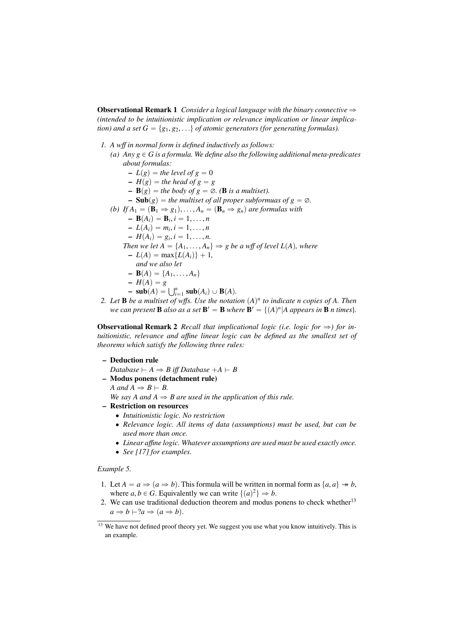**Observational Remark 1** *Consider a logical language with the binary connective*  $\Rightarrow$ *(intended to be intuitionistic implication or relevance implication or linear implication) and a set*  $G = \{g_1, g_2, ...\}$  *of atomic generators (for generating formulas).* 

- *1. A w*ff *in normal form is defined inductively as follows: (a)*  $Any \ g \in G$  *is a formula. We define also the following additional meta-predicates about formulas:*  $-L(g)$  = the level of  $g = 0$  $-H(g)$  = the head of  $g = g$  $\mathbf{B}(g)$  = the body of  $g = \emptyset$ . (**B** is a multiset). **– Sub** $(g)$  = the multiset of all proper subformuas of  $g = \emptyset$ .
	-
	- *(b) If*  $A_1 = (\mathbf{B}_1 \Rightarrow g_1), \ldots, A_n = (\mathbf{B}_n \Rightarrow g_n)$  are formulas with
		- $\mathbf{B}(A_i) = \mathbf{B}_i, i = 1, ..., n$ <br>  $\mathbf{B}(A_i) = m, i = 1, ..., n$
		- $L(A_i) = m_i, i = 1, ..., n$ <br>  $L(A_i) = a, i = 1, ..., n$
		- $H(A_i) = g_i, i = 1, ..., n.$ <br>hen we let  $A = \{A_1, ..., A_n\}$
		- *Then we let*  $A = \{A_1, \ldots, A_n\} \Rightarrow g$  *be a wff of level L(A), where* 
			- $-L(A) = \max\{L(A_i)\} + 1$ ,
			- *and we also let*
		- $-$ **B** $(A) = \{A_1, \ldots, A_n\}$
		- $-H(A) = g$
		- $H(A) = g$ <br>  $\text{sub}(A) = \bigcup_{i=1}^{n} \text{sub}(A_i) \cup \text{B}(A)$ .
- 2. Let **B** be a multiset of wffs. Use the notation  $(A)^n$  to indicate n copies of A. Then *we can present* **B** *also as a set*  $\mathbf{B}' = \mathbf{B}$  *where*  $\mathbf{B}' = \{ (A)^n | A$  *appears in* **B** *n times*}*.*

**Observational Remark 2** *Recall that implicational logic (i.e. logic for*  $\Rightarrow$ ) *for intuitionistic, relevance and a*ffi*ne linear logic can be defined as the smallest set of theorems which satisfy the following three rules:*

- Deduction rule
	- *Database*  $\vdash A \Rightarrow B$  *iff Database*  $+A \vdash B$
- Modus ponens (detachment rule)

 $A$  and  $A \Rightarrow B \vdash B$ .

*We say A and*  $A \Rightarrow B$  *are used in the application of this rule.* 

- Restriction on resources
	- ' *Intuitionistic logic. No restriction*
	- ' *Relevance logic. All items of data (assumptions) must be used, but can be used more than once.*
	- ' *Linear a*ffi*ne logic. Whatever assumptions are used must be used exactly once.*
	- ' *See [17] for examples.*

### *Example 5.*

- 1. Let  $A = a \Rightarrow (a \Rightarrow b)$ . This formula will be written in normal form as  $\{a, a\} \rightarrow b$ , where  $a, b \in G$ . Equivalently we can write  $\{(a)^2\} \Rightarrow b$ .<br>We can use traditional deduction theorem and modus is
- 2. We can use traditional deduction theorem and modus ponens to check whether<sup>13</sup>  $a \Rightarrow b \vdash ?a \Rightarrow (a \Rightarrow b).$

<sup>&</sup>lt;sup>13</sup> We have not defined proof theory yet. We suggest you use what you know intuitively. This is an example.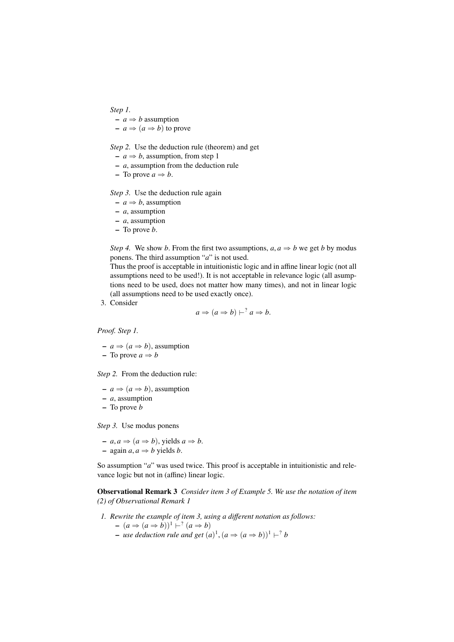### *Step 1.*

 $-a \Rightarrow b$  assumption

 $-a \Rightarrow (a \Rightarrow b)$  to prove

*Step 2.* Use the deduction rule (theorem) and get

 $-a \Rightarrow b$ , assumption, from step 1

- *a*, assumption from the deduction rule
- $-$  To prove  $a \Rightarrow b$ .

*Step 3.* Use the deduction rule again

- $-a \Rightarrow b$ , assumption
- *a*, assumption
- *a*, assumption
- To prove *b*.

*Step 4.* We show *b*. From the first two assumptions,  $a, a \Rightarrow b$  we get *b* by modus ponens. The third assumption "*a*" is not used.

Thus the proof is acceptable in intuitionistic logic and in affine linear logic (not all assumptions need to be used!). It is not acceptable in relevance logic (all asumptions need to be used, does not matter how many times), and not in linear logic (all assumptions need to be used exactly once).

3. Consider

$$
a \Rightarrow (a \Rightarrow b) \vdash^? a \Rightarrow b.
$$

*Proof. Step 1.*

- 
$$
a \Rightarrow (a \Rightarrow b)
$$
, assumption

- To prove 
$$
a \Rightarrow b
$$

*Step 2.* From the deduction rule:

 $-a \Rightarrow (a \Rightarrow b)$ , assumption

$$
-a
$$
, assumption

– To prove *b*

*Step 3.* Use modus ponens

$$
- a, a \Rightarrow (a \Rightarrow b), \text{ yields } a \Rightarrow b.
$$
  

$$
- \text{ again } a, a \Rightarrow b \text{ yields } b.
$$

So assumption "*a*" was used twice. This proof is acceptable in intuitionistic and relevance logic but not in (affine) linear logic.

Observational Remark 3 *Consider item 3 of Example 5. We use the notation of item (2) of Observational Remark 1*

*1. Rewrite the example of item 3, using a di*ff*erent notation as follows:*

$$
- (a \Rightarrow (a \Rightarrow b))^1 \vdash^? (a \Rightarrow b)
$$

 $-$  *use deduction rule and get*  $(a)^1$ ,  $(a \Rightarrow (a \Rightarrow b))^1 \vdash^? b$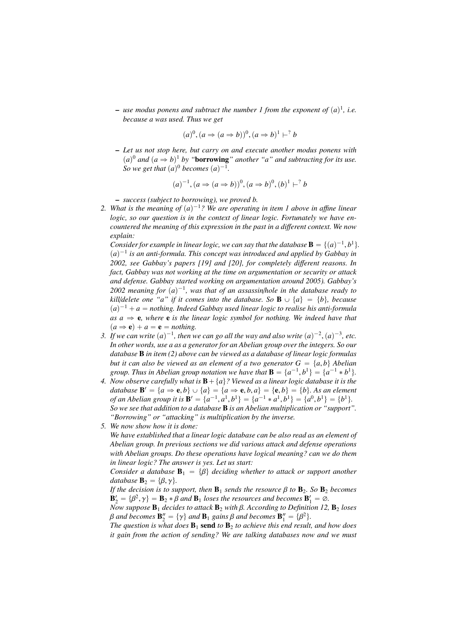$-$  use modus ponens and subtract the number 1 from the exponent of  $(a)^{1}$ , i.e. *because a was used. Thus we get*

$$
(a)^0, (a \Rightarrow (a \Rightarrow b))^0, (a \Rightarrow b)^1 \vdash^? b
$$

– *Let us not stop here, but carry on and execute another modus ponens with*  $(a)^0$  *and*  $(a \Rightarrow b)^1$  *by* "**borrowing**" *another* "*a*" *and subtracting for its use. So we get that*  $(a)^0$  *becomes*  $(a)^{-1}$ *.* 

$$
(a)^{-1}, (a \Rightarrow (a \Rightarrow b))^0, (a \Rightarrow b)^0, (b)^1 \vdash^? b
$$

– *success (subject to borrowing), we proved b.*

2. What is the meaning of  $(a)^{-1}$ ? We are operating in item 1 above in affine linear *logic, so our question is in the context of linear logic. Fortunately we have encountered the meaning of this expression in the past in a di*ff*erent context. We now explain:*

*Consider for example in linear logic, we can say that the database*  $\mathbf{B} = \{(a)^{-1}, b^1\}$ .<br>(*a*)<sup>-1</sup> is an anti-formula. This concent was introduced and applied by Gabbay in  $(a)^{-1}$  is an anti-formula. This concept was introduced and applied by Gabbay in *2002, see Gabbay's papers [19] and [20], for completely di*ff*erent reasons. In fact, Gabbay was not working at the time on argumentation or security or attack and defense. Gabbay started working on argumentation around 2005). Gabbay's*  $2002$  meaning for  $(a)^{-1}$ , was that of an assassin/hole in the database ready to *kill/delete one "a" if it comes into the database. So*  $\mathbf{B} \cup \{a\} = \{b\}$ , *because*  $(a)^{-1} + a =$  *nothing. Indeed Gabbay used linear logic to realise his anti-formula*  $as a \Rightarrow e$ , where **e** *is the linear logic symbol for nothing. We indeed have that*  $(a \Rightarrow \mathbf{e}) + a = \mathbf{e} = \text{nothing}.$ 

- *3. If we can write*  $(a)^{-1}$ , *then we can go all the way and also write*  $(a)^{-2}$ ,  $(a)^{-3}$ , *etc.*<br>*In other words, use a as a generator for an Abelian group over the integers.* So our *In other words, use a as a generator for an Abelian group over the integers. So our database* B *in item (2) above can be viewed as a database of linear logic formulas but it can also be viewed as an element of a two generator*  $G = \{a, b\}$  *Abelian group. Thus in Abelian group notation we have that*  $\mathbf{B} = \{a^{-1}, b^1\} = \{a^{-1} * b^1\}$ .<br>Now observe carefully what is  $\mathbf{B} + \{a\}$ ? Viewed as a linear logic database it is the
- *4. Now observe carefully what is*  $\mathbf{B} + \{a\}$ ? Viewed as a linear logic database it is the *database*  $\mathbf{B}' = \{a \Rightarrow \mathbf{e}, b\} \cup \{a\} = \{a \Rightarrow \mathbf{e}, b, a\} = \{\mathbf{e}, b\} = \{b\}.$  As an element of an Abelian group it is  $\mathbf{B}' = \{a^{-1} \mid b^{1} = a^{-1} \neq a^{1} \mid b^{1} = a^{0} \mid b^{1} = b^{0} \mid b^{1} = b^{1} \}$ *of an Abelian group it is*  $\mathbf{B}' = \{a^{-1}, a^1, b^1\} = \{a^{-1} * a^1, b^1\} = \{a^0, b^1\} = \{b^1\}$ .<br>So we see that addition to a database **B** is an Abelian multiplication or "support" *So we see that addition to a database* B *is an Abelian multiplication or "support". "Borrowing" or "attacking" is multiplication by the inverse.*
- *5. We now show how it is done:*

*We have established that a linear logic database can be also read as an element of Abelian group. In previous sections we did various attack and defense operations with Abelian groups. Do these operations have logical meaning? can we do them in linear logic? The answer is yes. Let us start:*

*Consider a database*  $\mathbf{B}_1 = {\beta}$  *deciding whether to attack or support another database*  $\mathbf{B}_2 = \{\beta, \gamma\}.$ 

*If the decision is to support, then*  $\mathbf{B}_1$  *sends the resource*  $\beta$  *to*  $\mathbf{B}_2$ *. So*  $\mathbf{B}_2$  *becomes*  $\mathbf{B}'_2 = \{\beta^2, \gamma\} = \mathbf{B}_2 * \beta$  and  $\mathbf{B}_1$  *loses the resources and becomes*  $\mathbf{B}'_1 = \emptyset$ .<br>Now suppose **B**, decides to attack **B**, with *B*, According to Definition 12.

*Now suppose* <sup>B</sup><sup>1</sup> *decides to attack* <sup>B</sup><sup>2</sup> *with* <sup>β</sup>*. According to Definition 12,* <sup>B</sup><sup>2</sup> *loses* β and becomes  **and**  $**B**_1$  **gains β and becomes**  $**B**''_1 = {\beta}^2$ **.<br>The question is what does <b>B**, **send** to **B**, to achieve this end result.

*The question is what does*  $B_1$  send *to*  $B_2$  *to achieve this end result, and how does it gain from the action of sending? We are talking databases now and we must*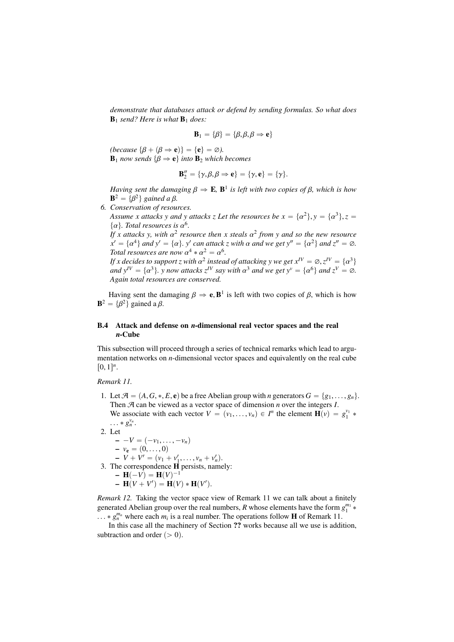*demonstrate that databases attack or defend by sending formulas. So what does*  $\mathbf{B}_1$  *send? Here is what*  $\mathbf{B}_1$  *does:* 

$$
\mathbf{B}_1 = \{\beta\} = \{\beta, \beta, \beta \Rightarrow \mathbf{e}\}
$$

*(because*  $\{\beta + (\beta \Rightarrow \mathbf{e})\} = \{\mathbf{e}\} = \emptyset$ ).  $\mathbf{B}_1$  *now sends*  $\{\beta \Rightarrow \mathbf{e}\}\$ *into*  $\mathbf{B}_2$  *which becomes* 

$$
B_2''=\{\gamma,\beta,\beta\Rightarrow e\}=\{\gamma,e\}=\{\gamma\}.
$$

*Having sent the damaging*  $\beta \Rightarrow \mathbf{E}$ ,  $\mathbf{B}^1$  *is left with two copies of*  $\beta$ *, which is how*  $\mathbf{R}^2 - \beta \beta^2$ *l gained a*  $\beta$ **B**<sup>2</sup> = {β<sup>2</sup>} gained a β.<br>Conservation of resou

*6. Conservation of resources.*

Assume *x* attacks *y* and *y* attacks *z* Let the resources be  $x = \{\alpha^2\}$ ,  $y = \{\alpha^3\}$ ,  $z = \{\alpha\}$ . Total resources is  $\alpha^6$  $\{\alpha\}$ *. Total resources is*  $\alpha^6$ *.*<br>*If* x attacks y with  $\alpha^2$  resorts

*If* x attacks y, with  $\alpha^2$  resource then x steals  $\alpha^2$  from y and so the new resource<br> $x' = {\alpha^4}$  and  $y' = {\alpha^3}$   $y'$  can attack z with  $\alpha$  and we get  $y'' = {\alpha^2}$  and  $z'' = \alpha$  $x' = \{\alpha^4\}$  and  $y' = \{\alpha\}$ , y' can attack z with  $\alpha$  and we get  $y'' = \{\alpha^2\}$  and  $z'' = \emptyset$ .<br>Total resources are now  $\alpha^4 * \alpha^2 = \alpha^6$ *Total resources are now*  $\alpha^4 * \alpha^2 = \alpha^6$ .<br>*If x decides to support z with*  $\alpha^2$  *insteal* 

*If x decides to support z with*  $\alpha^2$  *instead of attacking y we get*  $x^IV = \emptyset$ ,  $z^IV = \{\alpha^3\}$ <br>and  $y^IV = \{\alpha^3\}$ , y now attacks  $z^IV$  soy with  $\alpha^3$  and we get  $y^V = \{\alpha^6\}$  and  $z^V = \emptyset$ . *and*  $y^IV = \{\alpha^3\}$ , *y now attacks*  $z^{IV}$  *say with*  $\alpha^3$  *and we get*  $y^v = \{\alpha^6\}$  *and*  $z^V = \emptyset$ . *Again total resources are conserved.*

Having sent the damaging  $\beta \Rightarrow \mathbf{e}, \mathbf{B}^1$  is left with two copies of  $\beta$ , which is how  $-\beta \beta^2$  animed a  $\beta$  **gained a**  $\beta$ **.** 

## B.4 Attack and defense on *n*-dimensional real vector spaces and the real *n*-Cube

This subsection will proceed through a series of technical remarks which lead to argumentation networks on *n*-dimensional vector spaces and equivalently on the real cube  $[0, 1]^n$ .

*Remark 11.*

1. Let  $\mathcal{A} = \{A, G, *, E, \mathbf{e}\}\)$  be a free Abelian group with *n* generators  $G = \{g_1, \ldots, g_n\}.$ Then A can be viewed as a vector space of dimension *n* over the integers *I*. We associate with each vector  $V = (v_1, \dots, v_n) \in I^n$  the element  $\mathbf{H}(v) = g_1^{v_1} * g_2^{v_2}$ ...  $* g_n^{v_n}$ .<br>Let

2. Let  
\n
$$
-V = (-v_1, ..., -v_n)
$$
\n
$$
-v_e = (0, ..., 0)
$$
\n
$$
-V + V' = (v_1 + v'_1, ..., v_n + v'_n).
$$
\n3. The correspondence **H** persists, namely:  
\n
$$
-H(-V) = H(V)^{-1}
$$
\n
$$
-H(V + V') = H(V) * H(V').
$$

*Remark 12.* Taking the vector space view of Remark 11 we can talk about a finitely generated Abelian group over the real numbers, *R* whose elements have the form  $g_1^{m_1}$ .  $\ldots * g_n^{m_n}$  where each  $m_i$  is a real number. The operations follow **H** of Remark 11.<br>In this case all the machinery of Section 22 works because all we use is addi

In this case all the machinery of Section ?? works because all we use is addition, subtraction and order  $(> 0)$ .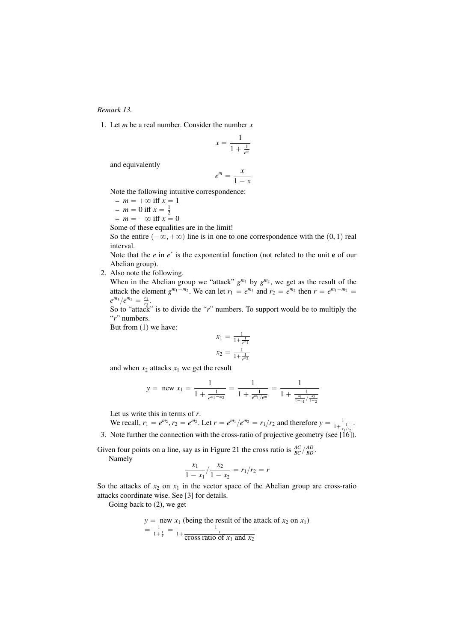#### *Remark 13.*

1. Let *m* be a real number. Consider the number *x*

$$
x = \frac{1}{1 + \frac{1}{e^m}}
$$

and equivalently

$$
e^m = \frac{x}{1-x}
$$

Note the following intuitive correspondence:

- $-m = +\infty$  iff  $x = 1$
- $m = 0$  iff  $x = \frac{1}{2}$
- $-m = -\infty$  iff  $x = 0$
- Some of these equalities are in the limit!

So the entire  $(-\infty, +\infty)$  line is in one to one correspondence with the  $(0, 1)$  real interval.

Note that the  $e$  in  $e^r$  is the exponential function (not related to the unit  $e$  of our Abelian group).

2. Also note the following.

When in the Abelian group we "attack"  $g^{m_1}$  by  $g^{m_2}$ , we get as the result of the attack the element  $g^{m_1-m_2}$ . We can let  $r_1 = e^{m_1}$  and  $r_2 = e^{m_2}$  then  $r = e^{m_1-m_2}$  $e^{m_1}/e^{m_2} = \frac{r_1}{r_2}.$ 

So to "attack" is to divide the "*r*" numbers. To support would be to multiply the "*r*" numbers.

But from (1) we have:

$$
x_1 = \frac{1}{1 + \frac{1}{e^{m_1}}}
$$

$$
x_2 = \frac{1}{1 + \frac{1}{e^{m_2}}}
$$

and when  $x_2$  attacks  $x_1$  we get the result

$$
y = \text{new } x_1 = \frac{1}{1 + \frac{1}{e^{m_1 - m_2}}} = \frac{1}{1 + \frac{1}{e^{m_1}/e^m}} = \frac{1}{1 + \frac{1}{\frac{x_1}{1 - x_1}/\frac{x_2}{1 - x_2}}}
$$

Let us write this in terms of *r*.

We recall,  $r_1 = e^{m_2}$ ,  $r_2 = e^{m_2}$ . Let  $r = e^{m_1}/e^{m_2} = r_1/r_2$  and therefore  $y = \frac{1}{1 + \frac{1}{r_1/r_2}}$ .

3. Note further the connection with the cross-ratio of projective geometry (see [16]).

Given four points on a line, say as in Figure 21 the cross ratio is  $\frac{AC}{BC}/\frac{AD}{BD}$ . Namely

$$
\frac{x_1}{1 - x_1} / \frac{x_2}{1 - x_2} = r_1 / r_2 = r
$$

So the attacks of  $x_2$  on  $x_1$  in the vector space of the Abelian group are cross-ratio attacks coordinate wise. See [3] for details.

Going back to (2), we get

$$
y = new x_1 (being the result of the attack of x_2 on x_1)
$$
  
=  $\frac{1}{1 + \frac{1}{r}}$  =  $\frac{1}{1 + \frac{1}{\text{cross ratio of } x_1 \text{ and } x_2}}$